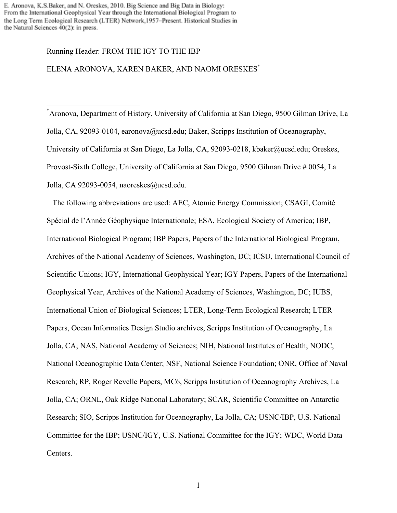E. Aronova, K.S.Baker, and N. Oreskes, 2010. Big Science and Big Data in Biology: From the International Geophysical Year through the International Biological Program to the Long Term Ecological Research (LTER) Network, 1957-Present. Historical Studies in the Natural Sciences 40(2): in press.

#### Running Header: FROM THE IGY TO THE IBP

# ELENA ARONOVA, KAREN BAKER, AND NAOMI ORESKES\*

 \* Aronova, Department of History, University of California at San Diego, 9500 Gilman Drive, La Jolla, CA, 92093-0104, earonova@ucsd.edu; Baker, Scripps Institution of Oceanography, University of California at San Diego, La Jolla, CA, 92093-0218, kbaker@ucsd.edu; Oreskes, Provost-Sixth College, University of California at San Diego, 9500 Gilman Drive # 0054, La Jolla, CA 92093-0054, naoreskes@ucsd.edu.

 The following abbreviations are used: AEC, Atomic Energy Commission; CSAGI, Comité Spécial de l'Année Géophysique Internationale; ESA, Ecological Society of America; IBP, International Biological Program; IBP Papers, Papers of the International Biological Program, Archives of the National Academy of Sciences, Washington, DC; ICSU, International Council of Scientific Unions; IGY, International Geophysical Year; IGY Papers, Papers of the International Geophysical Year, Archives of the National Academy of Sciences, Washington, DC; IUBS, International Union of Biological Sciences; LTER, Long-Term Ecological Research; LTER Papers, Ocean Informatics Design Studio archives, Scripps Institution of Oceanography, La Jolla, CA; NAS, National Academy of Sciences; NIH, National Institutes of Health; NODC, National Oceanographic Data Center; NSF, National Science Foundation; ONR, Office of Naval Research; RP, Roger Revelle Papers, MC6, Scripps Institution of Oceanography Archives, La Jolla, CA; ORNL, Oak Ridge National Laboratory; SCAR, Scientific Committee on Antarctic Research; SIO, Scripps Institution for Oceanography, La Jolla, CA; USNC/IBP, U.S. National Committee for the IBP; USNC/IGY, U.S. National Committee for the IGY; WDC, World Data Centers.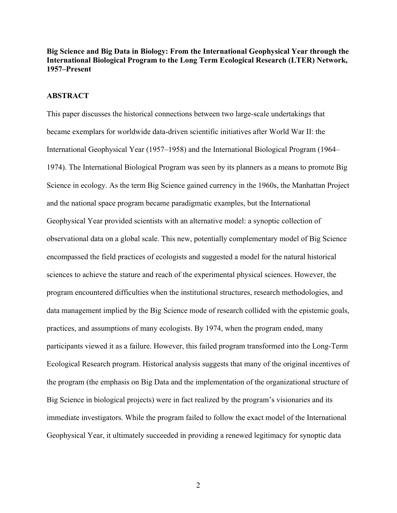**Big Science and Big Data in Biology: From the International Geophysical Year through the International Biological Program to the Long Term Ecological Research (LTER) Network, 1957–Present**

#### **ABSTRACT**

This paper discusses the historical connections between two large-scale undertakings that became exemplars for worldwide data-driven scientific initiatives after World War II: the International Geophysical Year (1957–1958) and the International Biological Program (1964– 1974). The International Biological Program was seen by its planners as a means to promote Big Science in ecology. As the term Big Science gained currency in the 1960s, the Manhattan Project and the national space program became paradigmatic examples, but the International Geophysical Year provided scientists with an alternative model: a synoptic collection of observational data on a global scale. This new, potentially complementary model of Big Science encompassed the field practices of ecologists and suggested a model for the natural historical sciences to achieve the stature and reach of the experimental physical sciences. However, the program encountered difficulties when the institutional structures, research methodologies, and data management implied by the Big Science mode of research collided with the epistemic goals, practices, and assumptions of many ecologists. By 1974, when the program ended, many participants viewed it as a failure. However, this failed program transformed into the Long-Term Ecological Research program. Historical analysis suggests that many of the original incentives of the program (the emphasis on Big Data and the implementation of the organizational structure of Big Science in biological projects) were in fact realized by the program's visionaries and its immediate investigators. While the program failed to follow the exact model of the International Geophysical Year, it ultimately succeeded in providing a renewed legitimacy for synoptic data

2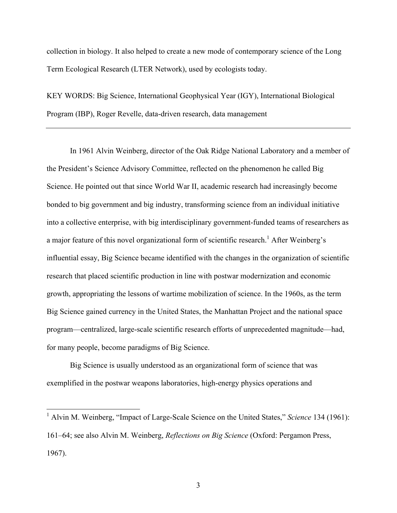collection in biology. It also helped to create a new mode of contemporary science of the Long Term Ecological Research (LTER Network), used by ecologists today.

KEY WORDS: Big Science, International Geophysical Year (IGY), International Biological Program (IBP), Roger Revelle, data-driven research, data management

In 1961 Alvin Weinberg, director of the Oak Ridge National Laboratory and a member of the President's Science Advisory Committee, reflected on the phenomenon he called Big Science. He pointed out that since World War II, academic research had increasingly become bonded to big government and big industry, transforming science from an individual initiative into a collective enterprise, with big interdisciplinary government-funded teams of researchers as a major feature of this novel organizational form of scientific research.<sup>1</sup> After Weinberg's influential essay, Big Science became identified with the changes in the organization of scientific research that placed scientific production in line with postwar modernization and economic growth, appropriating the lessons of wartime mobilization of science. In the 1960s, as the term Big Science gained currency in the United States, the Manhattan Project and the national space program—centralized, large-scale scientific research efforts of unprecedented magnitude—had, for many people, become paradigms of Big Science.

Big Science is usually understood as an organizational form of science that was exemplified in the postwar weapons laboratories, high-energy physics operations and

 <sup>1</sup> Alvin M. Weinberg, "Impact of Large-Scale Science on the United States," *Science* 134 (1961): 161–64; see also Alvin M. Weinberg, *Reflections on Big Science* (Oxford: Pergamon Press, 1967).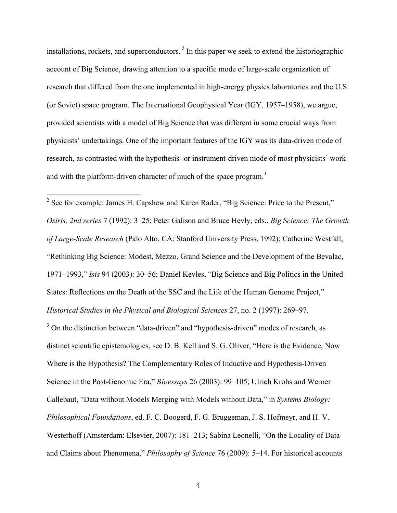installations, rockets, and superconductors.<sup>2</sup> In this paper we seek to extend the historiographic account of Big Science, drawing attention to a specific mode of large-scale organization of research that differed from the one implemented in high-energy physics laboratories and the U.S. (or Soviet) space program. The International Geophysical Year (IGY, 1957–1958), we argue, provided scientists with a model of Big Science that was different in some crucial ways from physicists' undertakings. One of the important features of the IGY was its data-driven mode of research, as contrasted with the hypothesis- or instrument-driven mode of most physicists' work and with the platform-driven character of much of the space program.<sup>3</sup>

<sup>2</sup> See for example: James H. Capshew and Karen Rader, "Big Science: Price to the Present," *Osiris, 2nd series* 7 (1992): 3–25; Peter Galison and Bruce Hevly, eds., *Big Science: The Growth of Large-Scale Research* (Palo Alto, CA: Stanford University Press, 1992); Catherine Westfall, "Rethinking Big Science: Modest, Mezzo, Grand Science and the Development of the Bevalac, 1971–1993," *Isis* 94 (2003): 30–56; Daniel Kevles, "Big Science and Big Politics in the United States: Reflections on the Death of the SSC and the Life of the Human Genome Project," *Historical Studies in the Physical and Biological Sciences* 27, no. 2 (1997): 269–97.

<sup>3</sup> On the distinction between "data-driven" and "hypothesis-driven" modes of research, as distinct scientific epistemologies, see D. B. Kell and S. G. Oliver, "Here is the Evidence, Now Where is the Hypothesis? The Complementary Roles of Inductive and Hypothesis-Driven Science in the Post-Genomic Era," *Bioessays* 26 (2003): 99–105; Ulrich Krohs and Werner Callebaut, "Data without Models Merging with Models without Data," in *Systems Biology: Philosophical Foundations*, ed. F. C. Boogerd, F. G. Bruggeman, J. S. Hofmeyr, and H. V. Westerhoff (Amsterdam: Elsevier, 2007): 181–213; Sabina Leonelli, "On the Locality of Data and Claims about Phenomena," *Philosophy of Science* 76 (2009): 5–14. For historical accounts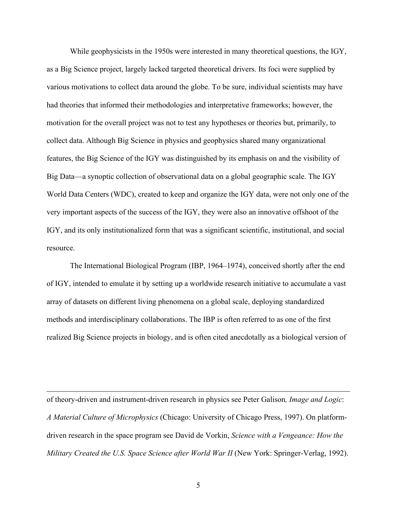While geophysicists in the 1950s were interested in many theoretical questions, the IGY, as a Big Science project, largely lacked targeted theoretical drivers. Its foci were supplied by various motivations to collect data around the globe. To be sure, individual scientists may have had theories that informed their methodologies and interpretative frameworks; however, the motivation for the overall project was not to test any hypotheses or theories but, primarily, to collect data. Although Big Science in physics and geophysics shared many organizational features, the Big Science of the IGY was distinguished by its emphasis on and the visibility of Big Data—a synoptic collection of observational data on a global geographic scale. The IGY World Data Centers (WDC), created to keep and organize the IGY data, were not only one of the very important aspects of the success of the IGY, they were also an innovative offshoot of the IGY, and its only institutionalized form that was a significant scientific, institutional, and social resource.

The International Biological Program (IBP, 1964–1974), conceived shortly after the end of IGY, intended to emulate it by setting up a worldwide research initiative to accumulate a vast array of datasets on different living phenomena on a global scale, deploying standardized methods and interdisciplinary collaborations. The IBP is often referred to as one of the first realized Big Science projects in biology, and is often cited anecdotally as a biological version of

of theory-driven and instrument-driven research in physics see Peter Galison*, Image and Logic*: *A Material Culture of Microphysics* (Chicago: University of Chicago Press, 1997). On platformdriven research in the space program see David de Vorkin, *Science with a Vengeance: How the Military Created the U.S. Space Science after World War II* (New York: Springer-Verlag, 1992).

 $\overline{a}$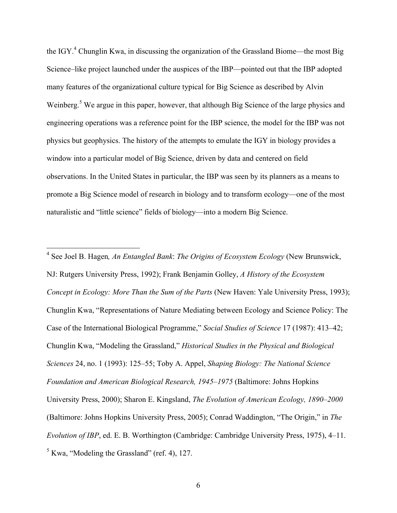the IGY.<sup>4</sup> Chunglin Kwa, in discussing the organization of the Grassland Biome—the most Big Science–like project launched under the auspices of the IBP—pointed out that the IBP adopted many features of the organizational culture typical for Big Science as described by Alvin Weinberg.<sup>5</sup> We argue in this paper, however, that although Big Science of the large physics and engineering operations was a reference point for the IBP science, the model for the IBP was not physics but geophysics. The history of the attempts to emulate the IGY in biology provides a window into a particular model of Big Science, driven by data and centered on field observations. In the United States in particular, the IBP was seen by its planners as a means to promote a Big Science model of research in biology and to transform ecology—one of the most naturalistic and "little science" fields of biology—into a modern Big Science.

 4 See Joel B. Hagen*, An Entangled Bank*: *The Origins of Ecosystem Ecology* (New Brunswick, NJ: Rutgers University Press, 1992); Frank Benjamin Golley, *A History of the Ecosystem Concept in Ecology: More Than the Sum of the Parts* (New Haven: Yale University Press, 1993); Chunglin Kwa, "Representations of Nature Mediating between Ecology and Science Policy: The Case of the International Biological Programme," *Social Studies of Science* 17 (1987): 413–42; Chunglin Kwa, "Modeling the Grassland," *Historical Studies in the Physical and Biological Sciences* 24, no. 1 (1993): 125–55; Toby A. Appel, *Shaping Biology: The National Science Foundation and American Biological Research, 1945–1975* (Baltimore: Johns Hopkins University Press, 2000); Sharon E. Kingsland, *The Evolution of American Ecology, 1890–2000* (Baltimore: Johns Hopkins University Press, 2005); Conrad Waddington, "The Origin," in *The Evolution of IBP*, ed. E. B. Worthington (Cambridge: Cambridge University Press, 1975), 4–11.  $<sup>5</sup>$  Kwa, "Modeling the Grassland" (ref. 4), 127.</sup>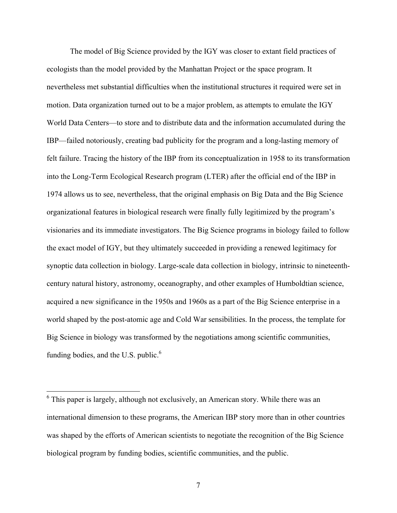The model of Big Science provided by the IGY was closer to extant field practices of ecologists than the model provided by the Manhattan Project or the space program. It nevertheless met substantial difficulties when the institutional structures it required were set in motion. Data organization turned out to be a major problem, as attempts to emulate the IGY World Data Centers—to store and to distribute data and the information accumulated during the IBP—failed notoriously, creating bad publicity for the program and a long-lasting memory of felt failure. Tracing the history of the IBP from its conceptualization in 1958 to its transformation into the Long-Term Ecological Research program (LTER) after the official end of the IBP in 1974 allows us to see, nevertheless, that the original emphasis on Big Data and the Big Science organizational features in biological research were finally fully legitimized by the program's visionaries and its immediate investigators. The Big Science programs in biology failed to follow the exact model of IGY, but they ultimately succeeded in providing a renewed legitimacy for synoptic data collection in biology. Large-scale data collection in biology, intrinsic to nineteenthcentury natural history, astronomy, oceanography, and other examples of Humboldtian science, acquired a new significance in the 1950s and 1960s as a part of the Big Science enterprise in a world shaped by the post-atomic age and Cold War sensibilities. In the process, the template for Big Science in biology was transformed by the negotiations among scientific communities, funding bodies, and the U.S. public. $<sup>6</sup>$ </sup>

 $6$  This paper is largely, although not exclusively, an American story. While there was an international dimension to these programs, the American IBP story more than in other countries was shaped by the efforts of American scientists to negotiate the recognition of the Big Science biological program by funding bodies, scientific communities, and the public.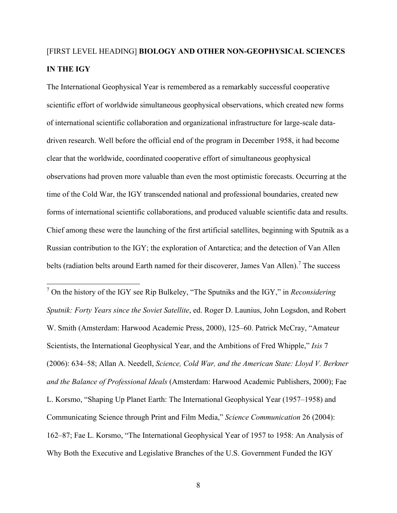# [FIRST LEVEL HEADING] **BIOLOGY AND OTHER NON-GEOPHYSICAL SCIENCES IN THE IGY**

The International Geophysical Year is remembered as a remarkably successful cooperative scientific effort of worldwide simultaneous geophysical observations, which created new forms of international scientific collaboration and organizational infrastructure for large-scale datadriven research. Well before the official end of the program in December 1958, it had become clear that the worldwide, coordinated cooperative effort of simultaneous geophysical observations had proven more valuable than even the most optimistic forecasts. Occurring at the time of the Cold War, the IGY transcended national and professional boundaries, created new forms of international scientific collaborations, and produced valuable scientific data and results. Chief among these were the launching of the first artificial satellites, beginning with Sputnik as a Russian contribution to the IGY; the exploration of Antarctica; and the detection of Van Allen belts (radiation belts around Earth named for their discoverer, James Van Allen).<sup>7</sup> The success

 7 On the history of the IGY see Rip Bulkeley, "The Sputniks and the IGY," in *Reconsidering Sputnik: Forty Years since the Soviet Satellite*, ed. Roger D. Launius, John Logsdon, and Robert W. Smith (Amsterdam: Harwood Academic Press, 2000), 125–60. Patrick McCray, "Amateur Scientists, the International Geophysical Year, and the Ambitions of Fred Whipple," *Isis* 7 (2006): 634–58; Allan A. Needell, *Science, Cold War, and the American State: Lloyd V. Berkner and the Balance of Professional Ideals* (Amsterdam: Harwood Academic Publishers, 2000); Fae L. Korsmo, "Shaping Up Planet Earth: The International Geophysical Year (1957–1958) and Communicating Science through Print and Film Media," *Science Communication* 26 (2004): 162–87; Fae L. Korsmo, "The International Geophysical Year of 1957 to 1958: An Analysis of Why Both the Executive and Legislative Branches of the U.S. Government Funded the IGY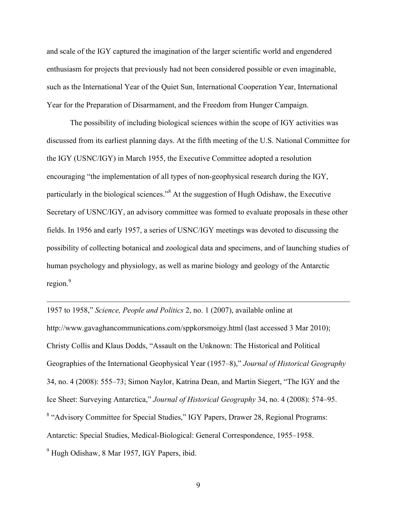and scale of the IGY captured the imagination of the larger scientific world and engendered enthusiasm for projects that previously had not been considered possible or even imaginable, such as the International Year of the Quiet Sun, International Cooperation Year, International Year for the Preparation of Disarmament, and the Freedom from Hunger Campaign.

The possibility of including biological sciences within the scope of IGY activities was discussed from its earliest planning days. At the fifth meeting of the U.S. National Committee for the IGY (USNC/IGY) in March 1955, the Executive Committee adopted a resolution encouraging "the implementation of all types of non-geophysical research during the IGY, particularly in the biological sciences."<sup>8</sup> At the suggestion of Hugh Odishaw, the Executive Secretary of USNC/IGY, an advisory committee was formed to evaluate proposals in these other fields. In 1956 and early 1957, a series of USNC/IGY meetings was devoted to discussing the possibility of collecting botanical and zoological data and specimens, and of launching studies of human psychology and physiology, as well as marine biology and geology of the Antarctic region.<sup>9</sup>

1957 to 1958," *Science, People and Politics* 2, no. 1 (2007), available online at http://www.gavaghancommunications.com/sppkorsmoigy.html (last accessed 3 Mar 2010); Christy Collis and Klaus Dodds, "Assault on the Unknown: The Historical and Political Geographies of the International Geophysical Year (1957–8)," *Journal of Historical Geography* 34, no. 4 (2008): 555–73; Simon Naylor, Katrina Dean, and Martin Siegert, "The IGY and the Ice Sheet: Surveying Antarctica," *Journal of Historical Geography* 34, no. 4 (2008): 574–95. <sup>8</sup> "Advisory Committee for Special Studies," IGY Papers, Drawer 28, Regional Programs: Antarctic: Special Studies, Medical-Biological: General Correspondence, 1955–1958. <sup>9</sup> Hugh Odishaw, 8 Mar 1957, IGY Papers, ibid.

 $\overline{a}$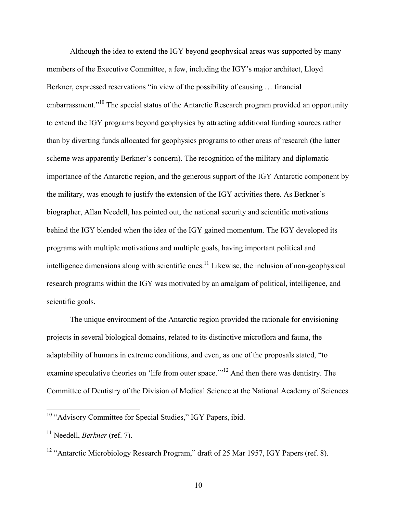Although the idea to extend the IGY beyond geophysical areas was supported by many members of the Executive Committee, a few, including the IGY's major architect, Lloyd Berkner, expressed reservations "in view of the possibility of causing … financial embarrassment."10 The special status of the Antarctic Research program provided an opportunity to extend the IGY programs beyond geophysics by attracting additional funding sources rather than by diverting funds allocated for geophysics programs to other areas of research (the latter scheme was apparently Berkner's concern). The recognition of the military and diplomatic importance of the Antarctic region, and the generous support of the IGY Antarctic component by the military, was enough to justify the extension of the IGY activities there. As Berkner's biographer, Allan Needell, has pointed out, the national security and scientific motivations behind the IGY blended when the idea of the IGY gained momentum. The IGY developed its programs with multiple motivations and multiple goals, having important political and intelligence dimensions along with scientific ones.<sup>11</sup> Likewise, the inclusion of non-geophysical research programs within the IGY was motivated by an amalgam of political, intelligence, and scientific goals.

The unique environment of the Antarctic region provided the rationale for envisioning projects in several biological domains, related to its distinctive microflora and fauna, the adaptability of humans in extreme conditions, and even, as one of the proposals stated, "to examine speculative theories on 'life from outer space.'"<sup>12</sup> And then there was dentistry. The Committee of Dentistry of the Division of Medical Science at the National Academy of Sciences

<sup>&</sup>lt;sup>10</sup> "Advisory Committee for Special Studies," IGY Papers, ibid.

<sup>11</sup> Needell, *Berkner* (ref. 7).

<sup>&</sup>lt;sup>12</sup> "Antarctic Microbiology Research Program," draft of 25 Mar 1957, IGY Papers (ref. 8).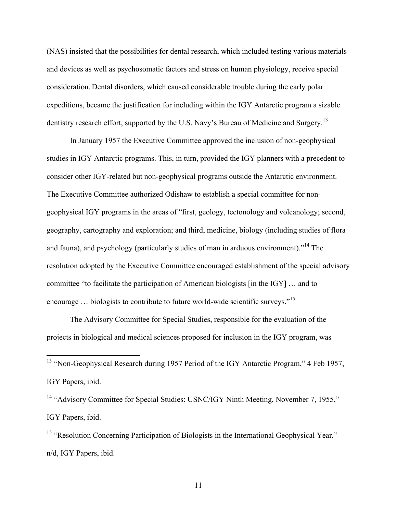(NAS) insisted that the possibilities for dental research, which included testing various materials and devices as well as psychosomatic factors and stress on human physiology, receive special consideration. Dental disorders, which caused considerable trouble during the early polar expeditions, became the justification for including within the IGY Antarctic program a sizable dentistry research effort, supported by the U.S. Navy's Bureau of Medicine and Surgery.<sup>13</sup>

In January 1957 the Executive Committee approved the inclusion of non-geophysical studies in IGY Antarctic programs. This, in turn, provided the IGY planners with a precedent to consider other IGY-related but non-geophysical programs outside the Antarctic environment. The Executive Committee authorized Odishaw to establish a special committee for nongeophysical IGY programs in the areas of "first, geology, tectonology and volcanology; second, geography, cartography and exploration; and third, medicine, biology (including studies of flora and fauna), and psychology (particularly studies of man in arduous environment)."<sup>14</sup> The resolution adopted by the Executive Committee encouraged establishment of the special advisory committee "to facilitate the participation of American biologists [in the IGY] … and to encourage ... biologists to contribute to future world-wide scientific surveys."<sup>15</sup>

The Advisory Committee for Special Studies, responsible for the evaluation of the projects in biological and medical sciences proposed for inclusion in the IGY program, was

<sup>14</sup> "Advisory Committee for Special Studies: USNC/IGY Ninth Meeting, November 7, 1955," IGY Papers, ibid.

<sup>&</sup>lt;sup>13</sup> "Non-Geophysical Research during 1957 Period of the IGY Antarctic Program," 4 Feb 1957, IGY Papers, ibid.

<sup>&</sup>lt;sup>15</sup> "Resolution Concerning Participation of Biologists in the International Geophysical Year," n/d, IGY Papers, ibid.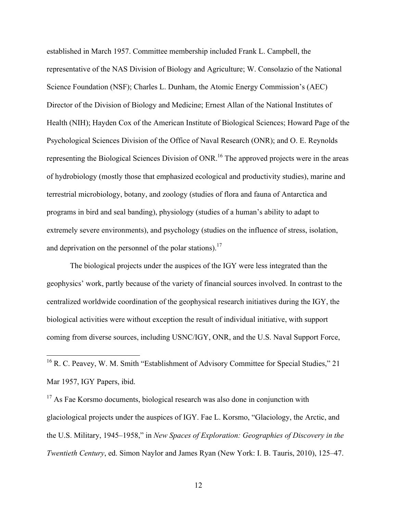established in March 1957. Committee membership included Frank L. Campbell, the representative of the NAS Division of Biology and Agriculture; W. Consolazio of the National Science Foundation (NSF); Charles L. Dunham, the Atomic Energy Commission's (AEC) Director of the Division of Biology and Medicine; Ernest Allan of the National Institutes of Health (NIH); Hayden Cox of the American Institute of Biological Sciences; Howard Page of the Psychological Sciences Division of the Office of Naval Research (ONR); and O. E. Reynolds representing the Biological Sciences Division of ONR.<sup>16</sup> The approved projects were in the areas of hydrobiology (mostly those that emphasized ecological and productivity studies), marine and terrestrial microbiology, botany, and zoology (studies of flora and fauna of Antarctica and programs in bird and seal banding), physiology (studies of a human's ability to adapt to extremely severe environments), and psychology (studies on the influence of stress, isolation, and deprivation on the personnel of the polar stations).<sup>17</sup>

The biological projects under the auspices of the IGY were less integrated than the geophysics' work, partly because of the variety of financial sources involved. In contrast to the centralized worldwide coordination of the geophysical research initiatives during the IGY, the biological activities were without exception the result of individual initiative, with support coming from diverse sources, including USNC/IGY, ONR, and the U.S. Naval Support Force,

<sup>17</sup> As Fae Korsmo documents, biological research was also done in conjunction with glaciological projects under the auspices of IGY. Fae L. Korsmo, "Glaciology, the Arctic, and the U.S. Military, 1945–1958," in *New Spaces of Exploration: Geographies of Discovery in the Twentieth Century*, ed. Simon Naylor and James Ryan (New York: I. B. Tauris, 2010), 125–47.

 $16$  R. C. Peavey, W. M. Smith "Establishment of Advisory Committee for Special Studies," 21 Mar 1957, IGY Papers, ibid.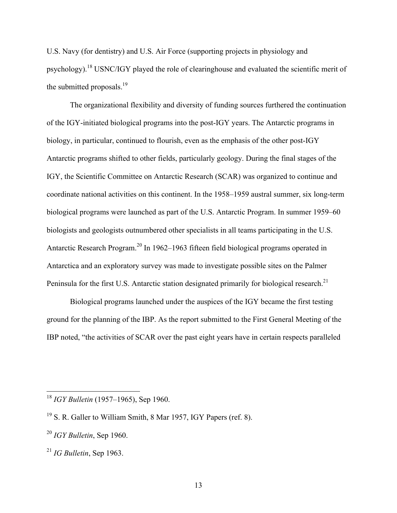U.S. Navy (for dentistry) and U.S. Air Force (supporting projects in physiology and psychology).<sup>18</sup> USNC/IGY played the role of clearinghouse and evaluated the scientific merit of the submitted proposals. $^{19}$ 

The organizational flexibility and diversity of funding sources furthered the continuation of the IGY-initiated biological programs into the post-IGY years. The Antarctic programs in biology, in particular, continued to flourish, even as the emphasis of the other post-IGY Antarctic programs shifted to other fields, particularly geology. During the final stages of the IGY, the Scientific Committee on Antarctic Research (SCAR) was organized to continue and coordinate national activities on this continent. In the 1958–1959 austral summer, six long-term biological programs were launched as part of the U.S. Antarctic Program. In summer 1959–60 biologists and geologists outnumbered other specialists in all teams participating in the U.S. Antarctic Research Program.<sup>20</sup> In 1962–1963 fifteen field biological programs operated in Antarctica and an exploratory survey was made to investigate possible sites on the Palmer Peninsula for the first U.S. Antarctic station designated primarily for biological research.<sup>21</sup>

Biological programs launched under the auspices of the IGY became the first testing ground for the planning of the IBP. As the report submitted to the First General Meeting of the IBP noted, "the activities of SCAR over the past eight years have in certain respects paralleled

 <sup>18</sup> *IGY Bulletin* (1957–1965), Sep 1960.

<sup>19</sup> S. R. Galler to William Smith, 8 Mar 1957, IGY Papers (ref. 8).

<sup>20</sup> *IGY Bulletin*, Sep 1960.

<sup>21</sup> *IG Bulletin*, Sep 1963.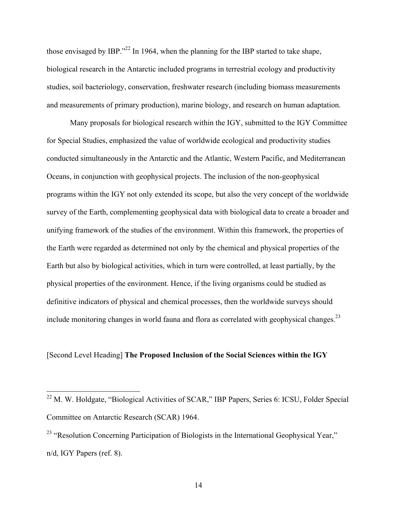those envisaged by IBP."<sup>22</sup> In 1964, when the planning for the IBP started to take shape, biological research in the Antarctic included programs in terrestrial ecology and productivity studies, soil bacteriology, conservation, freshwater research (including biomass measurements and measurements of primary production), marine biology, and research on human adaptation.

Many proposals for biological research within the IGY, submitted to the IGY Committee for Special Studies, emphasized the value of worldwide ecological and productivity studies conducted simultaneously in the Antarctic and the Atlantic, Western Pacific, and Mediterranean Oceans, in conjunction with geophysical projects. The inclusion of the non-geophysical programs within the IGY not only extended its scope, but also the very concept of the worldwide survey of the Earth, complementing geophysical data with biological data to create a broader and unifying framework of the studies of the environment. Within this framework, the properties of the Earth were regarded as determined not only by the chemical and physical properties of the Earth but also by biological activities, which in turn were controlled, at least partially, by the physical properties of the environment. Hence, if the living organisms could be studied as definitive indicators of physical and chemical processes, then the worldwide surveys should include monitoring changes in world fauna and flora as correlated with geophysical changes. $2<sup>3</sup>$ 

#### [Second Level Heading] **The Proposed Inclusion of the Social Sciences within the IGY**

<sup>&</sup>lt;sup>22</sup> M. W. Holdgate, "Biological Activities of SCAR," IBP Papers, Series 6: ICSU, Folder Special Committee on Antarctic Research (SCAR) 1964.

<sup>&</sup>lt;sup>23</sup> "Resolution Concerning Participation of Biologists in the International Geophysical Year," n/d, IGY Papers (ref. 8).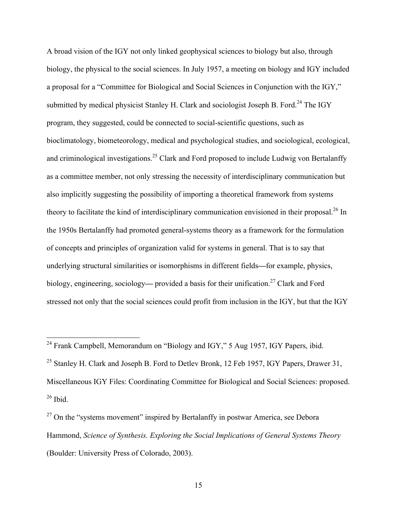A broad vision of the IGY not only linked geophysical sciences to biology but also, through biology, the physical to the social sciences. In July 1957, a meeting on biology and IGY included a proposal for a "Committee for Biological and Social Sciences in Conjunction with the IGY," submitted by medical physicist Stanley H. Clark and sociologist Joseph B. Ford.<sup>24</sup> The IGY program, they suggested, could be connected to social-scientific questions, such as bioclimatology, biometeorology, medical and psychological studies, and sociological, ecological, and criminological investigations.<sup>25</sup> Clark and Ford proposed to include Ludwig von Bertalanffy as a committee member, not only stressing the necessity of interdisciplinary communication but also implicitly suggesting the possibility of importing a theoretical framework from systems theory to facilitate the kind of interdisciplinary communication envisioned in their proposal.<sup>26</sup> In the 1950s Bertalanffy had promoted general-systems theory as a framework for the formulation of concepts and principles of organization valid for systems in general. That is to say that underlying structural similarities or isomorphisms in different fields**—**for example, physics, biology, engineering, sociology— provided a basis for their unification.<sup>27</sup> Clark and Ford stressed not only that the social sciences could profit from inclusion in the IGY, but that the IGY

<sup>&</sup>lt;sup>24</sup> Frank Campbell, Memorandum on "Biology and IGY," 5 Aug 1957, IGY Papers, ibid.

<sup>&</sup>lt;sup>25</sup> Stanley H. Clark and Joseph B. Ford to Detlev Bronk, 12 Feb 1957, IGY Papers, Drawer 31, Miscellaneous IGY Files: Coordinating Committee for Biological and Social Sciences: proposed.  $26$  Ibid.

 $27$  On the "systems movement" inspired by Bertalanffy in postwar America, see Debora Hammond, *Science of Synthesis. Exploring the Social Implications of General Systems Theory* (Boulder: University Press of Colorado, 2003).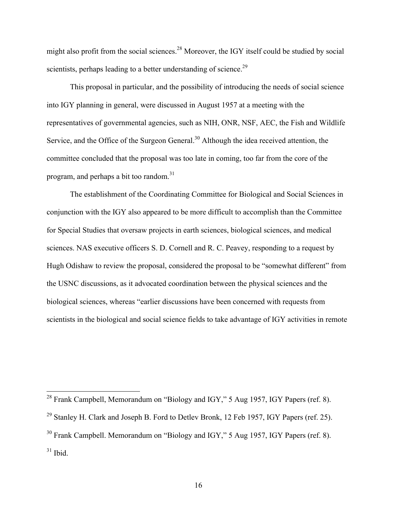might also profit from the social sciences.<sup>28</sup> Moreover, the IGY itself could be studied by social scientists, perhaps leading to a better understanding of science.<sup>29</sup>

This proposal in particular, and the possibility of introducing the needs of social science into IGY planning in general, were discussed in August 1957 at a meeting with the representatives of governmental agencies, such as NIH, ONR, NSF, AEC, the Fish and Wildlife Service, and the Office of the Surgeon General.<sup>30</sup> Although the idea received attention, the committee concluded that the proposal was too late in coming, too far from the core of the program, and perhaps a bit too random.<sup>31</sup>

The establishment of the Coordinating Committee for Biological and Social Sciences in conjunction with the IGY also appeared to be more difficult to accomplish than the Committee for Special Studies that oversaw projects in earth sciences, biological sciences, and medical sciences. NAS executive officers S. D. Cornell and R. C. Peavey, responding to a request by Hugh Odishaw to review the proposal, considered the proposal to be "somewhat different" from the USNC discussions, as it advocated coordination between the physical sciences and the biological sciences, whereas "earlier discussions have been concerned with requests from scientists in the biological and social science fields to take advantage of IGY activities in remote

<sup>&</sup>lt;sup>28</sup> Frank Campbell, Memorandum on "Biology and IGY," 5 Aug 1957, IGY Papers (ref. 8).

<sup>&</sup>lt;sup>29</sup> Stanley H. Clark and Joseph B. Ford to Detlev Bronk, 12 Feb 1957, IGY Papers (ref. 25).

<sup>30</sup> Frank Campbell. Memorandum on "Biology and IGY," 5 Aug 1957, IGY Papers (ref. 8).  $31$  Ibid.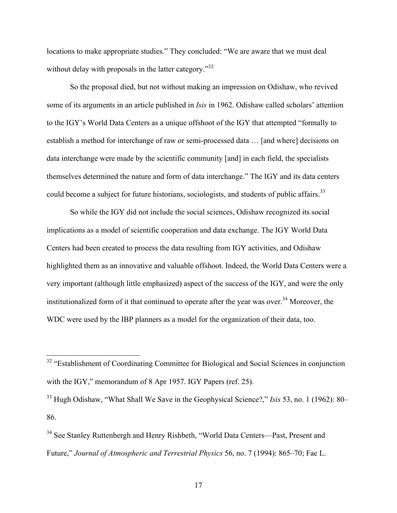locations to make appropriate studies." They concluded: "We are aware that we must deal without delay with proposals in the latter category."<sup>32</sup>

So the proposal died, but not without making an impression on Odishaw, who revived some of its arguments in an article published in *Isis* in 1962. Odishaw called scholars' attention to the IGY's World Data Centers as a unique offshoot of the IGY that attempted "formally to establish a method for interchange of raw or semi-processed data … [and where] decisions on data interchange were made by the scientific community [and] in each field, the specialists themselves determined the nature and form of data interchange." The IGY and its data centers could become a subject for future historians, sociologists, and students of public affairs.<sup>33</sup>

So while the IGY did not include the social sciences, Odishaw recognized its social implications as a model of scientific cooperation and data exchange. The IGY World Data Centers had been created to process the data resulting from IGY activities, and Odishaw highlighted them as an innovative and valuable offshoot. Indeed, the World Data Centers were a very important (although little emphasized) aspect of the success of the IGY, and were the only institutionalized form of it that continued to operate after the year was over.<sup>34</sup> Moreover, the WDC were used by the IBP planners as a model for the organization of their data, too.

<sup>&</sup>lt;sup>32</sup> "Establishment of Coordinating Committee for Biological and Social Sciences in conjunction with the IGY," memorandum of 8 Apr 1957. IGY Papers (ref. 25).

<sup>33</sup> Hugh Odishaw, "What Shall We Save in the Geophysical Science?," *Isis* 53, no. 1 (1962): 80– 86.

<sup>&</sup>lt;sup>34</sup> See Stanley Ruttenbergh and Henry Rishbeth, "World Data Centers—Past, Present and Future," *Journal of Atmospheric and Terrestrial Physics* 56, no. 7 (1994): 865–70; Fae L.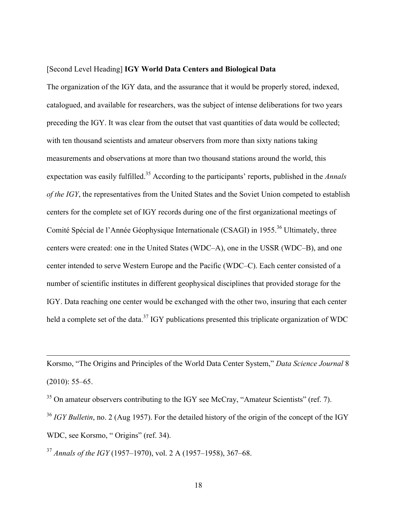#### [Second Level Heading] **IGY World Data Centers and Biological Data**

The organization of the IGY data, and the assurance that it would be properly stored, indexed, catalogued, and available for researchers, was the subject of intense deliberations for two years preceding the IGY. It was clear from the outset that vast quantities of data would be collected; with ten thousand scientists and amateur observers from more than sixty nations taking measurements and observations at more than two thousand stations around the world, this expectation was easily fulfilled.<sup>35</sup> According to the participants' reports, published in the *Annals of the IGY*, the representatives from the United States and the Soviet Union competed to establish centers for the complete set of IGY records during one of the first organizational meetings of Comité Spécial de l'Année Géophysique Internationale (CSAGI) in 1955.<sup>36</sup> Ultimately, three centers were created: one in the United States (WDC–A), one in the USSR (WDC–B), and one center intended to serve Western Europe and the Pacific (WDC–C). Each center consisted of a number of scientific institutes in different geophysical disciplines that provided storage for the IGY. Data reaching one center would be exchanged with the other two, insuring that each center held a complete set of the data.<sup>37</sup> IGY publications presented this triplicate organization of WDC

Korsmo, "The Origins and Principles of the World Data Center System," *Data Science Journal* 8  $(2010): 55-65.$ 

 $35$  On amateur observers contributing to the IGY see McCray, "Amateur Scientists" (ref. 7).

<sup>36</sup> *IGY Bulletin*, no. 2 (Aug 1957). For the detailed history of the origin of the concept of the IGY WDC, see Korsmo, " Origins" (ref. 34).

<sup>37</sup> *Annals of the IGY* (1957–1970), vol. 2 A (1957–1958), 367–68.

 $\overline{a}$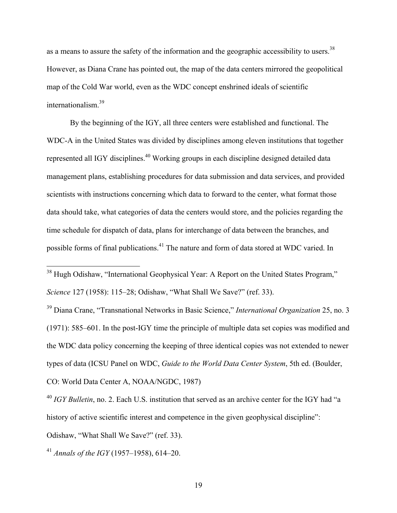as a means to assure the safety of the information and the geographic accessibility to users.<sup>38</sup> However, as Diana Crane has pointed out, the map of the data centers mirrored the geopolitical map of the Cold War world, even as the WDC concept enshrined ideals of scientific internationalism.39

By the beginning of the IGY, all three centers were established and functional. The WDC-A in the United States was divided by disciplines among eleven institutions that together represented all IGY disciplines.<sup>40</sup> Working groups in each discipline designed detailed data management plans, establishing procedures for data submission and data services, and provided scientists with instructions concerning which data to forward to the center, what format those data should take, what categories of data the centers would store, and the policies regarding the time schedule for dispatch of data, plans for interchange of data between the branches, and possible forms of final publications.<sup>41</sup> The nature and form of data stored at WDC varied. In

<sup>38</sup> Hugh Odishaw, "International Geophysical Year: A Report on the United States Program," *Science* 127 (1958): 115–28; Odishaw, "What Shall We Save?" (ref. 33).

<sup>39</sup> Diana Crane, "Transnational Networks in Basic Science," *International Organization* 25, no. 3 (1971): 585–601. In the post-IGY time the principle of multiple data set copies was modified and the WDC data policy concerning the keeping of three identical copies was not extended to newer types of data (ICSU Panel on WDC, *Guide to the World Data Center System*, 5th ed. (Boulder,

CO: World Data Center A, NOAA/NGDC, 1987)

<sup>40</sup> *IGY Bulletin*, no. 2. Each U.S. institution that served as an archive center for the IGY had "a history of active scientific interest and competence in the given geophysical discipline":

Odishaw, "What Shall We Save?" (ref. 33).

<sup>41</sup> *Annals of the IGY* (1957–1958), 614–20.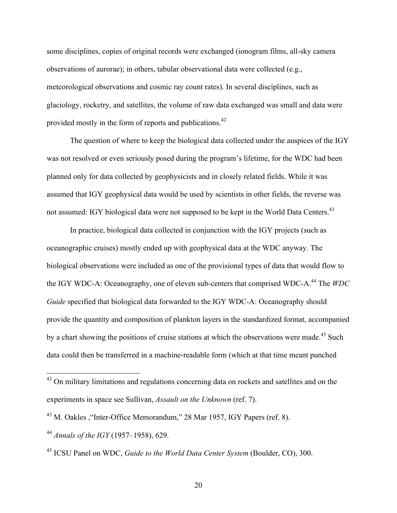some disciplines, copies of original records were exchanged (ionogram films, all-sky camera observations of aurorae); in others, tabular observational data were collected (e.g., meteorological observations and cosmic ray count rates). In several disciplines, such as glaciology, rocketry, and satellites, the volume of raw data exchanged was small and data were provided mostly in the form of reports and publications.<sup>42</sup>

The question of where to keep the biological data collected under the auspices of the IGY was not resolved or even seriously posed during the program's lifetime, for the WDC had been planned only for data collected by geophysicists and in closely related fields. While it was assumed that IGY geophysical data would be used by scientists in other fields, the reverse was not assumed: IGY biological data were not supposed to be kept in the World Data Centers.<sup>43</sup>

In practice, biological data collected in conjunction with the IGY projects (such as oceanographic cruises) mostly ended up with geophysical data at the WDC anyway. The biological observations were included as one of the provisional types of data that would flow to the IGY WDC-A: Oceanography, one of eleven sub-centers that comprised WDC-A.<sup>44</sup> The *WDC Guide* specified that biological data forwarded to the IGY WDC-A: Oceanography should provide the quantity and composition of plankton layers in the standardized format, accompanied by a chart showing the positions of cruise stations at which the observations were made.<sup>45</sup> Such data could then be transferred in a machine-readable form (which at that time meant punched

<sup>&</sup>lt;sup>42</sup> On military limitations and regulations concerning data on rockets and satellites and on the experiments in space see Sullivan, *Assault on the Unknown* (ref. 7).

<sup>43</sup> M. Oakles ,"Inter-Office Memorandum," 28 Mar 1957, IGY Papers (ref. 8).

<sup>44</sup> *Annals of the IGY* (1957–1958), 629.

<sup>45</sup> ICSU Panel on WDC, *Guide to the World Data Center System* (Boulder, CO), 300.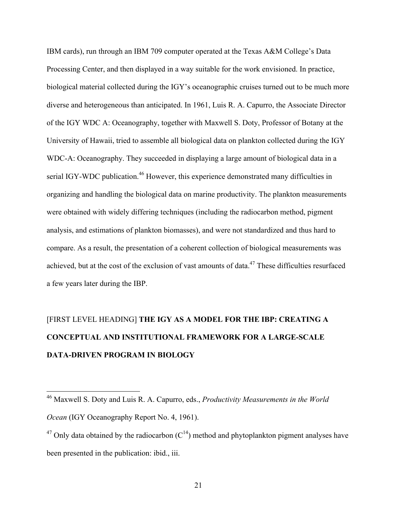IBM cards), run through an IBM 709 computer operated at the Texas A&M College's Data Processing Center, and then displayed in a way suitable for the work envisioned. In practice, biological material collected during the IGY's oceanographic cruises turned out to be much more diverse and heterogeneous than anticipated. In 1961, Luis R. A. Capurro, the Associate Director of the IGY WDC A: Oceanography, together with Maxwell S. Doty, Professor of Botany at the University of Hawaii, tried to assemble all biological data on plankton collected during the IGY WDC-A: Oceanography. They succeeded in displaying a large amount of biological data in a serial IGY-WDC publication.<sup>46</sup> However, this experience demonstrated many difficulties in organizing and handling the biological data on marine productivity. The plankton measurements were obtained with widely differing techniques (including the radiocarbon method, pigment analysis, and estimations of plankton biomasses), and were not standardized and thus hard to compare. As a result, the presentation of a coherent collection of biological measurements was achieved, but at the cost of the exclusion of vast amounts of data.<sup>47</sup> These difficulties resurfaced a few years later during the IBP.

# [FIRST LEVEL HEADING] **THE IGY AS A MODEL FOR THE IBP: CREATING A CONCEPTUAL AND INSTITUTIONAL FRAMEWORK FOR A LARGE-SCALE DATA-DRIVEN PROGRAM IN BIOLOGY**

 <sup>46</sup> Maxwell S. Doty and Luis R. A. Capurro, eds., *Productivity Measurements in the World Ocean* (IGY Oceanography Report No. 4, 1961).

<sup>&</sup>lt;sup>47</sup> Only data obtained by the radiocarbon  $(C^{14})$  method and phytoplankton pigment analyses have been presented in the publication: ibid., iii.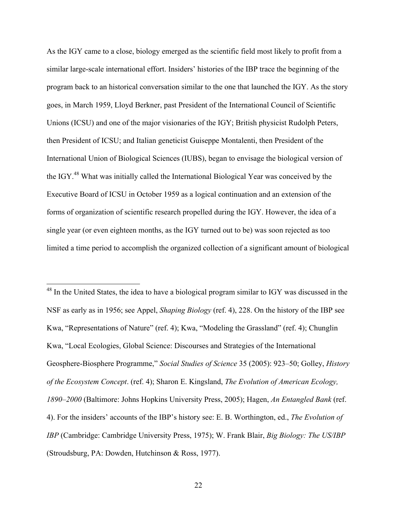As the IGY came to a close, biology emerged as the scientific field most likely to profit from a similar large-scale international effort. Insiders' histories of the IBP trace the beginning of the program back to an historical conversation similar to the one that launched the IGY. As the story goes, in March 1959, Lloyd Berkner, past President of the International Council of Scientific Unions (ICSU) and one of the major visionaries of the IGY; British physicist Rudolph Peters, then President of ICSU; and Italian geneticist Guiseppe Montalenti, then President of the International Union of Biological Sciences (IUBS), began to envisage the biological version of the IGY.<sup>48</sup> What was initially called the International Biological Year was conceived by the Executive Board of ICSU in October 1959 as a logical continuation and an extension of the forms of organization of scientific research propelled during the IGY. However, the idea of a single year (or even eighteen months, as the IGY turned out to be) was soon rejected as too limited a time period to accomplish the organized collection of a significant amount of biological

<sup>48</sup> In the United States, the idea to have a biological program similar to IGY was discussed in the NSF as early as in 1956; see Appel, *Shaping Biology* (ref. 4), 228. On the history of the IBP see Kwa, "Representations of Nature" (ref. 4); Kwa, "Modeling the Grassland" (ref. 4); Chunglin Kwa, "Local Ecologies, Global Science: Discourses and Strategies of the International Geosphere-Biosphere Programme," *Social Studies of Science* 35 (2005): 923–50; Golley, *History of the Ecosystem Concept*. (ref. 4); Sharon E. Kingsland, *The Evolution of American Ecology, 1890–2000* (Baltimore: Johns Hopkins University Press, 2005); Hagen, *An Entangled Bank* (ref. 4). For the insiders' accounts of the IBP's history see: E. B. Worthington, ed., *The Evolution of IBP* (Cambridge: Cambridge University Press, 1975); W. Frank Blair, *Big Biology: The US/IBP*  (Stroudsburg, PA: Dowden, Hutchinson & Ross, 1977).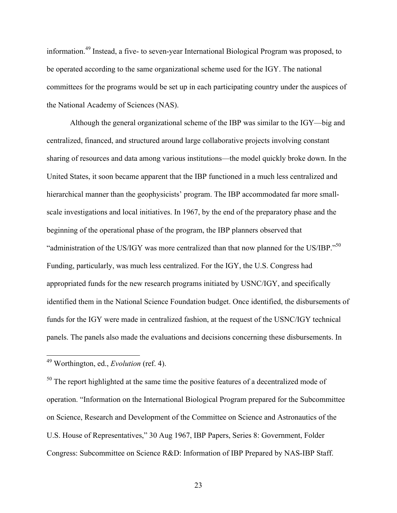information. 49 Instead, a five- to seven-year International Biological Program was proposed, to be operated according to the same organizational scheme used for the IGY. The national committees for the programs would be set up in each participating country under the auspices of the National Academy of Sciences (NAS).

Although the general organizational scheme of the IBP was similar to the IGY—big and centralized, financed, and structured around large collaborative projects involving constant sharing of resources and data among various institutions—the model quickly broke down. In the United States, it soon became apparent that the IBP functioned in a much less centralized and hierarchical manner than the geophysicists' program. The IBP accommodated far more smallscale investigations and local initiatives. In 1967, by the end of the preparatory phase and the beginning of the operational phase of the program, the IBP planners observed that "administration of the US/IGY was more centralized than that now planned for the US/IBP."<sup>50</sup> Funding, particularly, was much less centralized. For the IGY, the U.S. Congress had appropriated funds for the new research programs initiated by USNC/IGY, and specifically identified them in the National Science Foundation budget. Once identified, the disbursements of funds for the IGY were made in centralized fashion, at the request of the USNC/IGY technical panels. The panels also made the evaluations and decisions concerning these disbursements. In

 $50$  The report highlighted at the same time the positive features of a decentralized mode of operation. "Information on the International Biological Program prepared for the Subcommittee on Science, Research and Development of the Committee on Science and Astronautics of the U.S. House of Representatives," 30 Aug 1967, IBP Papers, Series 8: Government, Folder Congress: Subcommittee on Science R&D: Information of IBP Prepared by NAS-IBP Staff.

 <sup>49</sup> Worthington, ed., *Evolution* (ref. 4).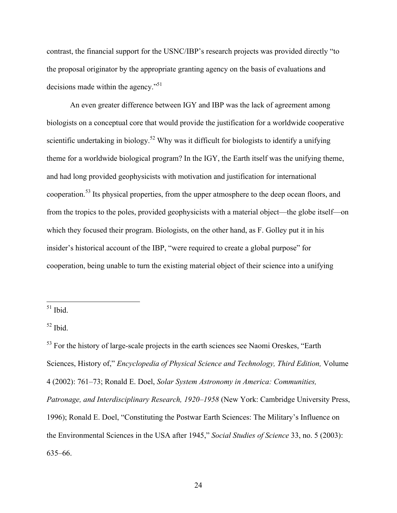contrast, the financial support for the USNC/IBP's research projects was provided directly "to the proposal originator by the appropriate granting agency on the basis of evaluations and decisions made within the agency."51

An even greater difference between IGY and IBP was the lack of agreement among biologists on a conceptual core that would provide the justification for a worldwide cooperative scientific undertaking in biology.<sup>52</sup> Why was it difficult for biologists to identify a unifying theme for a worldwide biological program? In the IGY, the Earth itself was the unifying theme, and had long provided geophysicists with motivation and justification for international cooperation.<sup>53</sup> Its physical properties, from the upper atmosphere to the deep ocean floors, and from the tropics to the poles, provided geophysicists with a material object—the globe itself—on which they focused their program. Biologists, on the other hand, as F. Golley put it in his insider's historical account of the IBP, "were required to create a global purpose" for cooperation, being unable to turn the existing material object of their science into a unifying

 $51$  Ibid.

 $52$  Ibid.

<sup>&</sup>lt;sup>53</sup> For the history of large-scale projects in the earth sciences see Naomi Oreskes, "Earth" Sciences, History of," *Encyclopedia of Physical Science and Technology, Third Edition,* Volume 4 (2002): 761–73; Ronald E. Doel, *Solar System Astronomy in America: Communities, Patronage, and Interdisciplinary Research, 1920–1958* (New York: Cambridge University Press, 1996); Ronald E. Doel, "Constituting the Postwar Earth Sciences: The Military's Influence on the Environmental Sciences in the USA after 1945," *Social Studies of Science* 33, no. 5 (2003): 635–66.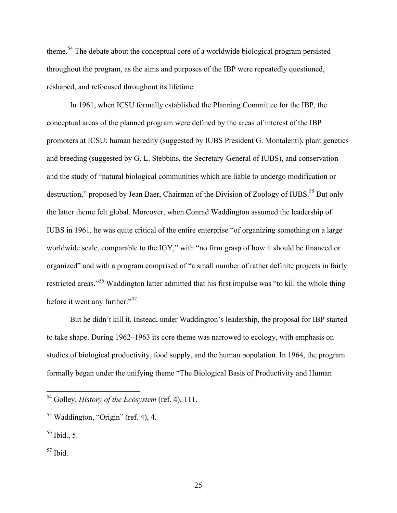theme.54 The debate about the conceptual core of a worldwide biological program persisted throughout the program, as the aims and purposes of the IBP were repeatedly questioned, reshaped, and refocused throughout its lifetime.

In 1961, when ICSU formally established the Planning Committee for the IBP, the conceptual areas of the planned program were defined by the areas of interest of the IBP promoters at ICSU: human heredity (suggested by IUBS President G. Montalenti), plant genetics and breeding (suggested by G. L. Stebbins, the Secretary-General of IUBS), and conservation and the study of "natural biological communities which are liable to undergo modification or destruction," proposed by Jean Baer, Chairman of the Division of Zoology of IUBS.<sup>55</sup> But only the latter theme felt global. Moreover, when Conrad Waddington assumed the leadership of IUBS in 1961, he was quite critical of the entire enterprise "of organizing something on a large worldwide scale, comparable to the IGY," with "no firm grasp of how it should be financed or organized" and with a program comprised of "a small number of rather definite projects in fairly restricted areas."56 Waddington latter admitted that his first impulse was "to kill the whole thing before it went any further."<sup>57</sup>

But he didn't kill it. Instead, under Waddington's leadership, the proposal for IBP started to take shape. During 1962–1963 its core theme was narrowed to ecology, with emphasis on studies of biological productivity, food supply, and the human population. In 1964, the program formally began under the unifying theme "The Biological Basis of Productivity and Human

 <sup>54</sup> Golley, *History of the Ecosystem* (ref. 4), 111.

 $55$  Waddington, "Origin" (ref. 4), 4.

 $56$  Ibid., 5.

 $57$  Ibid.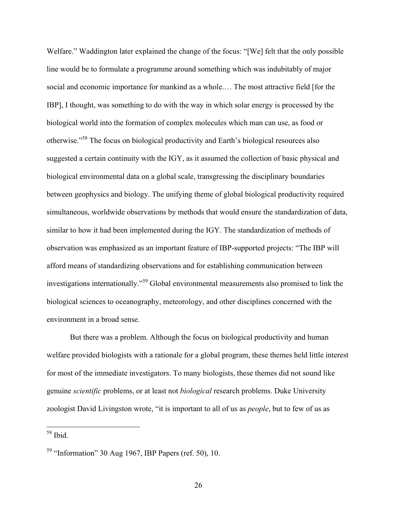Welfare." Waddington later explained the change of the focus: "[We] felt that the only possible line would be to formulate a programme around something which was indubitably of major social and economic importance for mankind as a whole.… The most attractive field [for the IBP], I thought, was something to do with the way in which solar energy is processed by the biological world into the formation of complex molecules which man can use, as food or otherwise."58 The focus on biological productivity and Earth's biological resources also suggested a certain continuity with the IGY, as it assumed the collection of basic physical and biological environmental data on a global scale, transgressing the disciplinary boundaries between geophysics and biology. The unifying theme of global biological productivity required simultaneous, worldwide observations by methods that would ensure the standardization of data, similar to how it had been implemented during the IGY. The standardization of methods of observation was emphasized as an important feature of IBP-supported projects: "The IBP will afford means of standardizing observations and for establishing communication between investigations internationally."59 Global environmental measurements also promised to link the biological sciences to oceanography, meteorology, and other disciplines concerned with the environment in a broad sense.

But there was a problem. Although the focus on biological productivity and human welfare provided biologists with a rationale for a global program, these themes held little interest for most of the immediate investigators. To many biologists, these themes did not sound like genuine *scientific* problems, or at least not *biological* research problems. Duke University zoologist David Livingston wrote, "it is important to all of us as *people*, but to few of us as

 <sup>58</sup> Ibid.

 $59$  "Information" 30 Aug 1967, IBP Papers (ref. 50), 10.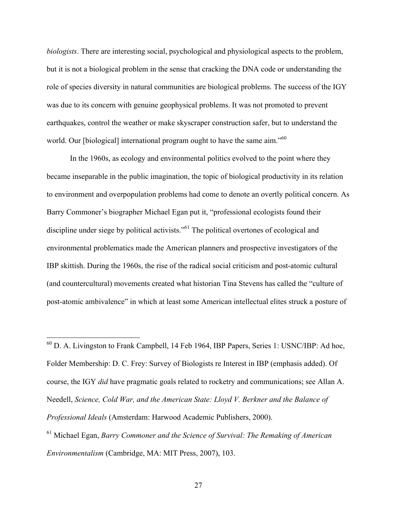*biologists*. There are interesting social, psychological and physiological aspects to the problem, but it is not a biological problem in the sense that cracking the DNA code or understanding the role of species diversity in natural communities are biological problems. The success of the IGY was due to its concern with genuine geophysical problems. It was not promoted to prevent earthquakes, control the weather or make skyscraper construction safer, but to understand the world. Our [biological] international program ought to have the same aim."<sup>60</sup>

In the 1960s, as ecology and environmental politics evolved to the point where they became inseparable in the public imagination, the topic of biological productivity in its relation to environment and overpopulation problems had come to denote an overtly political concern. As Barry Commoner's biographer Michael Egan put it, "professional ecologists found their discipline under siege by political activists."<sup>61</sup> The political overtones of ecological and environmental problematics made the American planners and prospective investigators of the IBP skittish. During the 1960s, the rise of the radical social criticism and post-atomic cultural (and countercultural) movements created what historian Tina Stevens has called the "culture of post-atomic ambivalence" in which at least some American intellectual elites struck a posture of

 60 D. A. Livingston to Frank Campbell, 14 Feb 1964, IBP Papers, Series 1: USNC/IBP: Ad hoc, Folder Membership: D. C. Frey: Survey of Biologists re Interest in IBP (emphasis added). Of course, the IGY *did* have pragmatic goals related to rocketry and communications; see Allan A. Needell, *Science, Cold War, and the American State: Lloyd V. Berkner and the Balance of Professional Ideals* (Amsterdam: Harwood Academic Publishers, 2000).

<sup>61</sup> Michael Egan, *Barry Commoner and the Science of Survival: The Remaking of American Environmentalism* (Cambridge, MA: MIT Press, 2007), 103.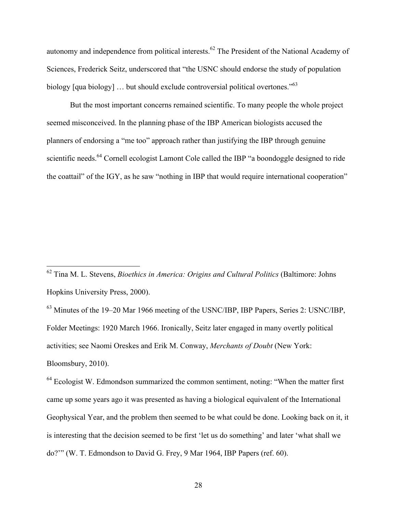autonomy and independence from political interests.<sup>62</sup> The President of the National Academy of Sciences, Frederick Seitz, underscored that "the USNC should endorse the study of population biology [qua biology] ... but should exclude controversial political overtones."<sup>63</sup>

But the most important concerns remained scientific. To many people the whole project seemed misconceived. In the planning phase of the IBP American biologists accused the planners of endorsing a "me too" approach rather than justifying the IBP through genuine scientific needs.<sup>64</sup> Cornell ecologist Lamont Cole called the IBP "a boondoggle designed to ride the coattail" of the IGY, as he saw "nothing in IBP that would require international cooperation"

63 Minutes of the 19–20 Mar 1966 meeting of the USNC/IBP, IBP Papers, Series 2: USNC/IBP, Folder Meetings: 1920 March 1966. Ironically, Seitz later engaged in many overtly political activities; see Naomi Oreskes and Erik M. Conway, *Merchants of Doubt* (New York: Bloomsbury, 2010).

<sup>64</sup> Ecologist W. Edmondson summarized the common sentiment, noting: "When the matter first came up some years ago it was presented as having a biological equivalent of the International Geophysical Year, and the problem then seemed to be what could be done. Looking back on it, it is interesting that the decision seemed to be first 'let us do something' and later 'what shall we do?'" (W. T. Edmondson to David G. Frey, 9 Mar 1964, IBP Papers (ref. 60).

 <sup>62</sup> Tina M. L. Stevens, *Bioethics in America: Origins and Cultural Politics* (Baltimore: Johns Hopkins University Press, 2000).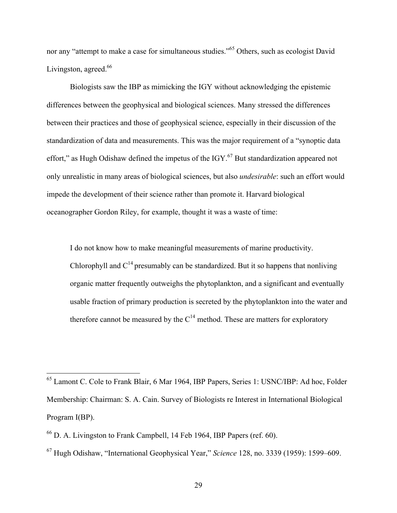nor any "attempt to make a case for simultaneous studies."<sup>65</sup> Others, such as ecologist David Livingston, agreed.<sup>66</sup>

Biologists saw the IBP as mimicking the IGY without acknowledging the epistemic differences between the geophysical and biological sciences. Many stressed the differences between their practices and those of geophysical science, especially in their discussion of the standardization of data and measurements. This was the major requirement of a "synoptic data effort," as Hugh Odishaw defined the impetus of the  $IGY<sup>67</sup>$  But standardization appeared not only unrealistic in many areas of biological sciences, but also *undesirable*: such an effort would impede the development of their science rather than promote it. Harvard biological oceanographer Gordon Riley, for example, thought it was a waste of time:

I do not know how to make meaningful measurements of marine productivity. Chlorophyll and  $C^{14}$  presumably can be standardized. But it so happens that nonliving organic matter frequently outweighs the phytoplankton, and a significant and eventually usable fraction of primary production is secreted by the phytoplankton into the water and therefore cannot be measured by the  $C^{14}$  method. These are matters for exploratory

 <sup>65</sup> Lamont C. Cole to Frank Blair, 6 Mar 1964, IBP Papers, Series 1: USNC/IBP: Ad hoc, Folder Membership: Chairman: S. A. Cain. Survey of Biologists re Interest in International Biological Program I(BP).

<sup>66</sup> D. A. Livingston to Frank Campbell, 14 Feb 1964, IBP Papers (ref. 60).

<sup>67</sup> Hugh Odishaw, "International Geophysical Year," *Science* 128, no. 3339 (1959): 1599–609.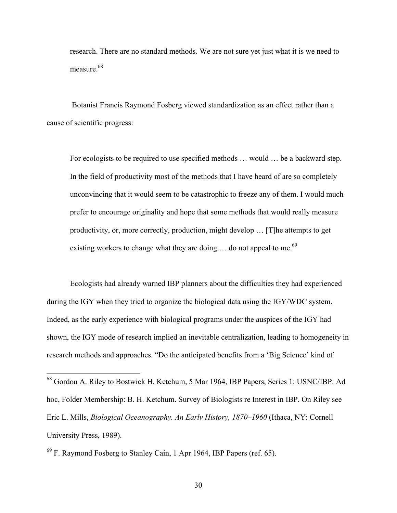research. There are no standard methods. We are not sure yet just what it is we need to measure.<sup>68</sup>

 Botanist Francis Raymond Fosberg viewed standardization as an effect rather than a cause of scientific progress:

For ecologists to be required to use specified methods … would … be a backward step. In the field of productivity most of the methods that I have heard of are so completely unconvincing that it would seem to be catastrophic to freeze any of them. I would much prefer to encourage originality and hope that some methods that would really measure productivity, or, more correctly, production, might develop … [T]he attempts to get existing workers to change what they are doing ... do not appeal to me.<sup>69</sup>

Ecologists had already warned IBP planners about the difficulties they had experienced during the IGY when they tried to organize the biological data using the IGY/WDC system. Indeed, as the early experience with biological programs under the auspices of the IGY had shown, the IGY mode of research implied an inevitable centralization, leading to homogeneity in research methods and approaches. "Do the anticipated benefits from a 'Big Science' kind of

 <sup>68</sup> Gordon A. Riley to Bostwick H. Ketchum, 5 Mar 1964, IBP Papers, Series 1: USNC/IBP: Ad hoc, Folder Membership: B. H. Ketchum. Survey of Biologists re Interest in IBP. On Riley see Eric L. Mills, *Biological Oceanography. An Early History, 1870–1960* (Ithaca, NY: Cornell University Press, 1989).

<sup>69</sup> F. Raymond Fosberg to Stanley Cain, 1 Apr 1964, IBP Papers (ref. 65).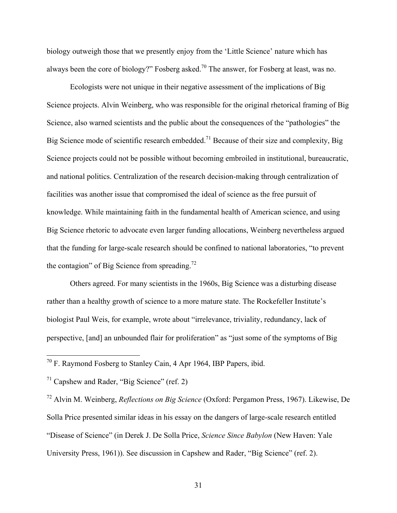biology outweigh those that we presently enjoy from the 'Little Science' nature which has always been the core of biology?" Fosberg asked.<sup>70</sup> The answer, for Fosberg at least, was no.

Ecologists were not unique in their negative assessment of the implications of Big Science projects. Alvin Weinberg, who was responsible for the original rhetorical framing of Big Science, also warned scientists and the public about the consequences of the "pathologies" the Big Science mode of scientific research embedded.<sup>71</sup> Because of their size and complexity, Big Science projects could not be possible without becoming embroiled in institutional, bureaucratic, and national politics. Centralization of the research decision-making through centralization of facilities was another issue that compromised the ideal of science as the free pursuit of knowledge. While maintaining faith in the fundamental health of American science, and using Big Science rhetoric to advocate even larger funding allocations, Weinberg nevertheless argued that the funding for large-scale research should be confined to national laboratories, "to prevent the contagion" of Big Science from spreading.<sup>72</sup>

Others agreed. For many scientists in the 1960s, Big Science was a disturbing disease rather than a healthy growth of science to a more mature state. The Rockefeller Institute's biologist Paul Weis, for example, wrote about "irrelevance, triviality, redundancy, lack of perspective, [and] an unbounded flair for proliferation" as "just some of the symptoms of Big

 $70$  F. Raymond Fosberg to Stanley Cain, 4 Apr 1964, IBP Papers, ibid.

 $71$  Capshew and Rader, "Big Science" (ref. 2)

<sup>72</sup> Alvin M. Weinberg, *Reflections on Big Science* (Oxford: Pergamon Press, 1967). Likewise, De Solla Price presented similar ideas in his essay on the dangers of large-scale research entitled "Disease of Science" (in Derek J. De Solla Price, *Science Since Babylon* (New Haven: Yale University Press, 1961)). See discussion in Capshew and Rader, "Big Science" (ref. 2).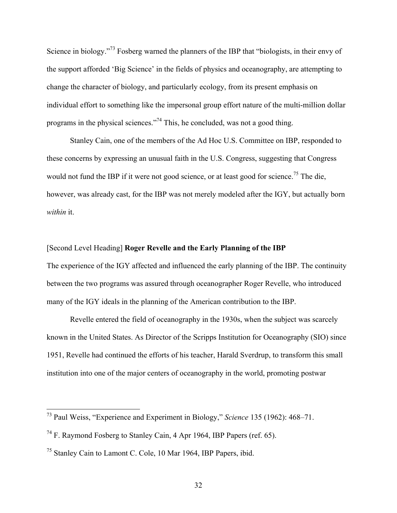Science in biology."<sup>73</sup> Fosberg warned the planners of the IBP that "biologists, in their envy of the support afforded 'Big Science' in the fields of physics and oceanography, are attempting to change the character of biology, and particularly ecology, from its present emphasis on individual effort to something like the impersonal group effort nature of the multi-million dollar programs in the physical sciences."74 This, he concluded, was not a good thing.

Stanley Cain, one of the members of the Ad Hoc U.S. Committee on IBP, responded to these concerns by expressing an unusual faith in the U.S. Congress, suggesting that Congress would not fund the IBP if it were not good science, or at least good for science.<sup>75</sup> The die, however, was already cast, for the IBP was not merely modeled after the IGY, but actually born *within* it.

#### [Second Level Heading] **Roger Revelle and the Early Planning of the IBP**

The experience of the IGY affected and influenced the early planning of the IBP. The continuity between the two programs was assured through oceanographer Roger Revelle, who introduced many of the IGY ideals in the planning of the American contribution to the IBP.

Revelle entered the field of oceanography in the 1930s, when the subject was scarcely known in the United States. As Director of the Scripps Institution for Oceanography (SIO) since 1951, Revelle had continued the efforts of his teacher, Harald Sverdrup, to transform this small institution into one of the major centers of oceanography in the world, promoting postwar

 <sup>73</sup> Paul Weiss, "Experience and Experiment in Biology," *Science* 135 (1962): 468–71.

<sup>74</sup> F. Raymond Fosberg to Stanley Cain, 4 Apr 1964, IBP Papers (ref. 65).

<sup>75</sup> Stanley Cain to Lamont C. Cole, 10 Mar 1964, IBP Papers, ibid.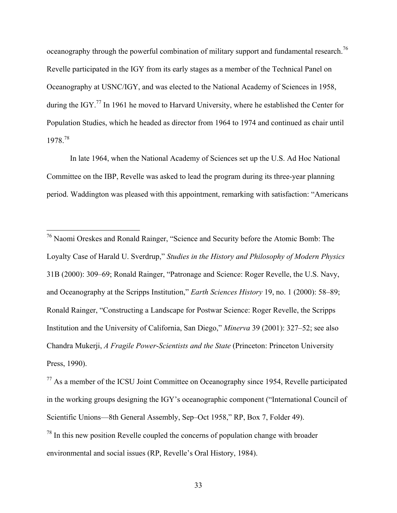oceanography through the powerful combination of military support and fundamental research.<sup>76</sup> Revelle participated in the IGY from its early stages as a member of the Technical Panel on Oceanography at USNC/IGY, and was elected to the National Academy of Sciences in 1958, during the IGY.<sup>77</sup> In 1961 he moved to Harvard University, where he established the Center for Population Studies, which he headed as director from 1964 to 1974 and continued as chair until 1978.<sup>78</sup>

In late 1964, when the National Academy of Sciences set up the U.S. Ad Hoc National Committee on the IBP, Revelle was asked to lead the program during its three-year planning period. Waddington was pleased with this appointment, remarking with satisfaction: "Americans

 76 Naomi Oreskes and Ronald Rainger, "Science and Security before the Atomic Bomb: The Loyalty Case of Harald U. Sverdrup," *Studies in the History and Philosophy of Modern Physics* 31B (2000): 309–69; Ronald Rainger, "Patronage and Science: Roger Revelle, the U.S. Navy, and Oceanography at the Scripps Institution," *Earth Sciences History* 19, no. 1 (2000): 58–89; Ronald Rainger, "Constructing a Landscape for Postwar Science: Roger Revelle, the Scripps Institution and the University of California, San Diego," *Minerva* 39 (2001): 327–52; see also Chandra Mukerji, *A Fragile Power*-*Scientists and the State* (Princeton: Princeton University Press, 1990).

 $77$  As a member of the ICSU Joint Committee on Oceanography since 1954, Revelle participated in the working groups designing the IGY's oceanographic component ("International Council of Scientific Unions—8th General Assembly, Sep–Oct 1958," RP, Box 7, Folder 49).  $78$  In this new position Revelle coupled the concerns of population change with broader environmental and social issues (RP, Revelle's Oral History, 1984).

<sup>33</sup>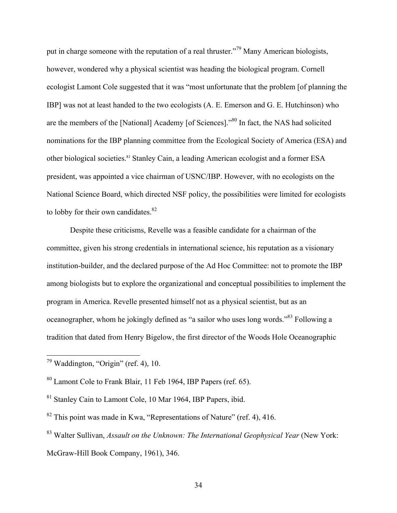put in charge someone with the reputation of a real thruster."<sup>79</sup> Many American biologists, however, wondered why a physical scientist was heading the biological program. Cornell ecologist Lamont Cole suggested that it was "most unfortunate that the problem [of planning the IBP] was not at least handed to the two ecologists (A. E. Emerson and G. E. Hutchinson) who are the members of the [National] Academy [of Sciences]."80 In fact, the NAS had solicited nominations for the IBP planning committee from the Ecological Society of America (ESA) and other biological societies. <sup>81</sup> Stanley Cain, a leading American ecologist and a former ESA president, was appointed a vice chairman of USNC/IBP. However, with no ecologists on the National Science Board, which directed NSF policy, the possibilities were limited for ecologists to lobby for their own candidates. $82$ 

Despite these criticisms, Revelle was a feasible candidate for a chairman of the committee, given his strong credentials in international science, his reputation as a visionary institution-builder, and the declared purpose of the Ad Hoc Committee: not to promote the IBP among biologists but to explore the organizational and conceptual possibilities to implement the program in America. Revelle presented himself not as a physical scientist, but as an oceanographer, whom he jokingly defined as "a sailor who uses long words."83 Following a tradition that dated from Henry Bigelow, the first director of the Woods Hole Oceanographic

 $79$  Waddington, "Origin" (ref. 4), 10.

<sup>80</sup> Lamont Cole to Frank Blair, 11 Feb 1964, IBP Papers (ref. 65).

<sup>81</sup> Stanley Cain to Lamont Cole, 10 Mar 1964, IBP Papers, ibid.

 $82$  This point was made in Kwa, "Representations of Nature" (ref. 4), 416.

<sup>83</sup> Walter Sullivan, *Assault on the Unknown: The International Geophysical Year* (New York: McGraw-Hill Book Company, 1961), 346.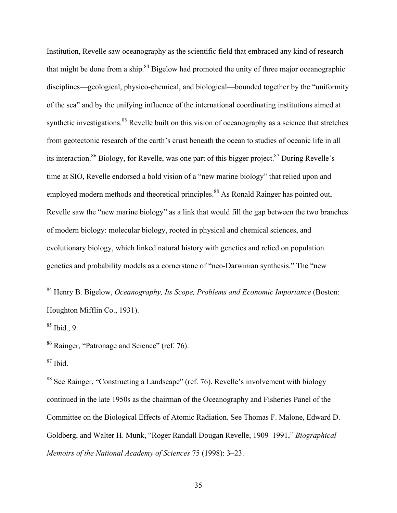Institution, Revelle saw oceanography as the scientific field that embraced any kind of research that might be done from a ship. $84$  Bigelow had promoted the unity of three major oceanographic disciplines—geological, physico-chemical, and biological—bounded together by the "uniformity of the sea" and by the unifying influence of the international coordinating institutions aimed at synthetic investigations.<sup>85</sup> Revelle built on this vision of oceanography as a science that stretches from geotectonic research of the earth's crust beneath the ocean to studies of oceanic life in all its interaction.<sup>86</sup> Biology, for Revelle, was one part of this bigger project.<sup>87</sup> During Revelle's time at SIO, Revelle endorsed a bold vision of a "new marine biology" that relied upon and employed modern methods and theoretical principles.<sup>88</sup> As Ronald Rainger has pointed out, Revelle saw the "new marine biology" as a link that would fill the gap between the two branches of modern biology: molecular biology, rooted in physical and chemical sciences, and evolutionary biology, which linked natural history with genetics and relied on population genetics and probability models as a cornerstone of "neo-Darwinian synthesis." The "new

 84 Henry B. Bigelow, *Oceanography, Its Scope, Problems and Economic Importance* (Boston: Houghton Mifflin Co., 1931).

 $85$  Ibid., 9.

<sup>86</sup> Rainger, "Patronage and Science" (ref. 76).

 $87$  Ibid.

<sup>88</sup> See Rainger, "Constructing a Landscape" (ref. 76). Revelle's involvement with biology continued in the late 1950s as the chairman of the Oceanography and Fisheries Panel of the Committee on the Biological Effects of Atomic Radiation. See Thomas F. Malone, Edward D. Goldberg, and Walter H. Munk, "Roger Randall Dougan Revelle, 1909–1991," *Biographical Memoirs of the National Academy of Sciences* 75 (1998): 3–23.

35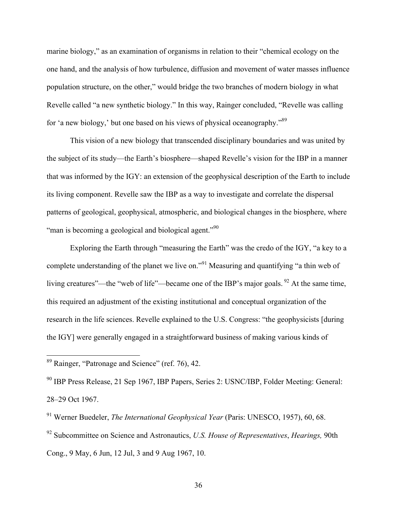marine biology," as an examination of organisms in relation to their "chemical ecology on the one hand, and the analysis of how turbulence, diffusion and movement of water masses influence population structure, on the other," would bridge the two branches of modern biology in what Revelle called "a new synthetic biology." In this way, Rainger concluded, "Revelle was calling for 'a new biology,' but one based on his views of physical oceanography."<sup>89</sup>

This vision of a new biology that transcended disciplinary boundaries and was united by the subject of its study—the Earth's biosphere—shaped Revelle's vision for the IBP in a manner that was informed by the IGY: an extension of the geophysical description of the Earth to include its living component. Revelle saw the IBP as a way to investigate and correlate the dispersal patterns of geological, geophysical, atmospheric, and biological changes in the biosphere, where "man is becoming a geological and biological agent."<sup>90</sup>

Exploring the Earth through "measuring the Earth" was the credo of the IGY, "a key to a complete understanding of the planet we live on."<sup>91</sup> Measuring and quantifying "a thin web of living creatures"—the "web of life"—became one of the IBP's major goals. <sup>92</sup> At the same time, this required an adjustment of the existing institutional and conceptual organization of the research in the life sciences. Revelle explained to the U.S. Congress: "the geophysicists [during the IGY] were generally engaged in a straightforward business of making various kinds of

 <sup>89</sup> Rainger, "Patronage and Science" (ref. 76), 42.

<sup>90</sup> IBP Press Release, 21 Sep 1967, IBP Papers, Series 2: USNC/IBP, Folder Meeting: General: 28–29 Oct 1967.

<sup>91</sup> Werner Buedeler, *The International Geophysical Year* (Paris: UNESCO, 1957), 60, 68.

<sup>92</sup> Subcommittee on Science and Astronautics, *U.S. House of Representatives*, *Hearings,* 90th Cong., 9 May, 6 Jun, 12 Jul, 3 and 9 Aug 1967, 10.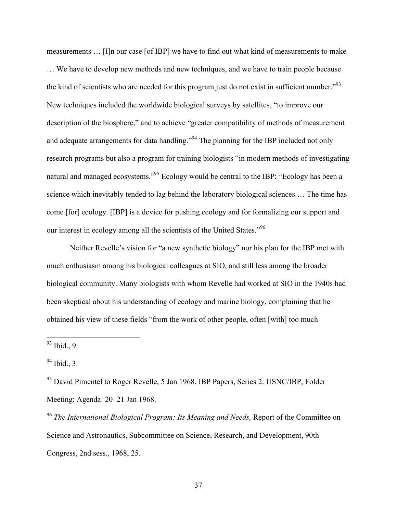measurements … [I]n our case [of IBP] we have to find out what kind of measurements to make … We have to develop new methods and new techniques, and we have to train people because the kind of scientists who are needed for this program just do not exist in sufficient number."93 New techniques included the worldwide biological surveys by satellites, "to improve our description of the biosphere," and to achieve "greater compatibility of methods of measurement and adequate arrangements for data handling."<sup>94</sup> The planning for the IBP included not only research programs but also a program for training biologists "in modern methods of investigating natural and managed ecosystems."<sup>95</sup> Ecology would be central to the IBP: "Ecology has been a science which inevitably tended to lag behind the laboratory biological sciences.… The time has come [for] ecology. [IBP] is a device for pushing ecology and for formalizing our support and our interest in ecology among all the scientists of the United States."96

Neither Revelle's vision for "a new synthetic biology" nor his plan for the IBP met with much enthusiasm among his biological colleagues at SIO, and still less among the broader biological community. Many biologists with whom Revelle had worked at SIO in the 1940s had been skeptical about his understanding of ecology and marine biology, complaining that he obtained his view of these fields "from the work of other people, often [with] too much

<sup>96</sup> *The International Biological Program: Its Meaning and Needs,* Report of the Committee on Science and Astronautics, Subcommittee on Science, Research, and Development, 90th Congress, 2nd sess., 1968, 25.

 <sup>93</sup> Ibid., 9.

 $94$  Ibid., 3.

<sup>&</sup>lt;sup>95</sup> David Pimentel to Roger Revelle, 5 Jan 1968, IBP Papers, Series 2: USNC/IBP, Folder Meeting: Agenda: 20–21 Jan 1968.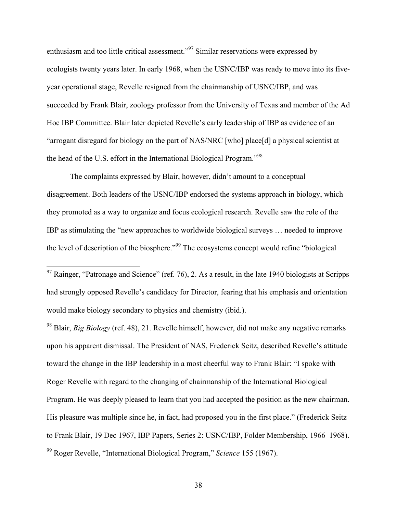enthusiasm and too little critical assessment."97 Similar reservations were expressed by ecologists twenty years later. In early 1968, when the USNC/IBP was ready to move into its fiveyear operational stage, Revelle resigned from the chairmanship of USNC/IBP, and was succeeded by Frank Blair, zoology professor from the University of Texas and member of the Ad Hoc IBP Committee. Blair later depicted Revelle's early leadership of IBP as evidence of an "arrogant disregard for biology on the part of NAS/NRC [who] place[d] a physical scientist at the head of the U.S. effort in the International Biological Program."<sup>98</sup>

The complaints expressed by Blair, however, didn't amount to a conceptual disagreement. Both leaders of the USNC/IBP endorsed the systems approach in biology, which they promoted as a way to organize and focus ecological research. Revelle saw the role of the IBP as stimulating the "new approaches to worldwide biological surveys … needed to improve the level of description of the biosphere."<sup>99</sup> The ecosystems concept would refine "biological"

<sup>98</sup> Blair, *Big Biology* (ref. 48), 21. Revelle himself, however, did not make any negative remarks upon his apparent dismissal. The President of NAS, Frederick Seitz, described Revelle's attitude toward the change in the IBP leadership in a most cheerful way to Frank Blair: "I spoke with Roger Revelle with regard to the changing of chairmanship of the International Biological Program. He was deeply pleased to learn that you had accepted the position as the new chairman. His pleasure was multiple since he, in fact, had proposed you in the first place." (Frederick Seitz to Frank Blair, 19 Dec 1967, IBP Papers, Series 2: USNC/IBP, Folder Membership, 1966–1968). <sup>99</sup> Roger Revelle, "International Biological Program," *Science* 155 (1967).

38

 $97$  Rainger, "Patronage and Science" (ref. 76), 2. As a result, in the late 1940 biologists at Scripps had strongly opposed Revelle's candidacy for Director, fearing that his emphasis and orientation would make biology secondary to physics and chemistry (ibid.).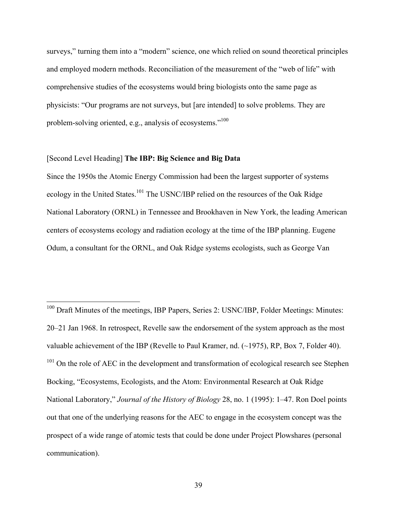surveys," turning them into a "modern" science, one which relied on sound theoretical principles and employed modern methods. Reconciliation of the measurement of the "web of life" with comprehensive studies of the ecosystems would bring biologists onto the same page as physicists: "Our programs are not surveys, but [are intended] to solve problems. They are problem-solving oriented, e.g., analysis of ecosystems."<sup>100</sup>

## [Second Level Heading] **The IBP: Big Science and Big Data**

Since the 1950s the Atomic Energy Commission had been the largest supporter of systems ecology in the United States.<sup>101</sup> The USNC/IBP relied on the resources of the Oak Ridge National Laboratory (ORNL) in Tennessee and Brookhaven in New York, the leading American centers of ecosystems ecology and radiation ecology at the time of the IBP planning. Eugene Odum, a consultant for the ORNL, and Oak Ridge systems ecologists, such as George Van

<sup>&</sup>lt;sup>100</sup> Draft Minutes of the meetings, IBP Papers, Series 2: USNC/IBP, Folder Meetings: Minutes: 20–21 Jan 1968. In retrospect, Revelle saw the endorsement of the system approach as the most valuable achievement of the IBP (Revelle to Paul Kramer, nd. (~1975), RP, Box 7, Folder 40).  $101$  On the role of AEC in the development and transformation of ecological research see Stephen Bocking, "Ecosystems, Ecologists, and the Atom: Environmental Research at Oak Ridge National Laboratory," *Journal of the History of Biology* 28, no. 1 (1995): 1–47. Ron Doel points out that one of the underlying reasons for the AEC to engage in the ecosystem concept was the prospect of a wide range of atomic tests that could be done under Project Plowshares (personal communication).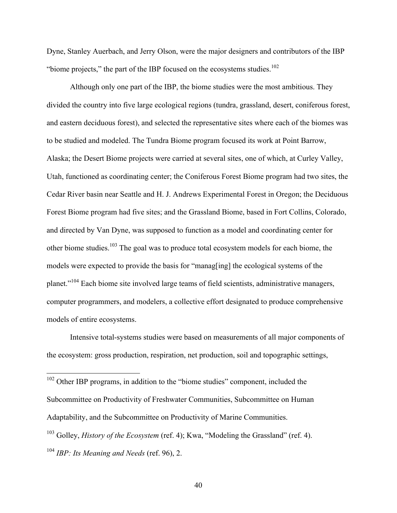Dyne, Stanley Auerbach, and Jerry Olson, were the major designers and contributors of the IBP "biome projects," the part of the IBP focused on the ecosystems studies. $102$ 

Although only one part of the IBP, the biome studies were the most ambitious. They divided the country into five large ecological regions (tundra, grassland, desert, coniferous forest, and eastern deciduous forest), and selected the representative sites where each of the biomes was to be studied and modeled. The Tundra Biome program focused its work at Point Barrow, Alaska; the Desert Biome projects were carried at several sites, one of which, at Curley Valley, Utah, functioned as coordinating center; the Coniferous Forest Biome program had two sites, the Cedar River basin near Seattle and H. J. Andrews Experimental Forest in Oregon; the Deciduous Forest Biome program had five sites; and the Grassland Biome, based in Fort Collins, Colorado, and directed by Van Dyne, was supposed to function as a model and coordinating center for other biome studies.103 The goal was to produce total ecosystem models for each biome, the models were expected to provide the basis for "manag[ing] the ecological systems of the planet."104 Each biome site involved large teams of field scientists, administrative managers, computer programmers, and modelers, a collective effort designated to produce comprehensive models of entire ecosystems.

Intensive total-systems studies were based on measurements of all major components of the ecosystem: gross production, respiration, net production, soil and topographic settings,

 102 Other IBP programs, in addition to the "biome studies" component, included the Subcommittee on Productivity of Freshwater Communities, Subcommittee on Human Adaptability, and the Subcommittee on Productivity of Marine Communities. <sup>103</sup> Golley, *History of the Ecosystem* (ref. 4); Kwa, "Modeling the Grassland" (ref. 4). <sup>104</sup> *IBP: Its Meaning and Needs* (ref. 96), 2.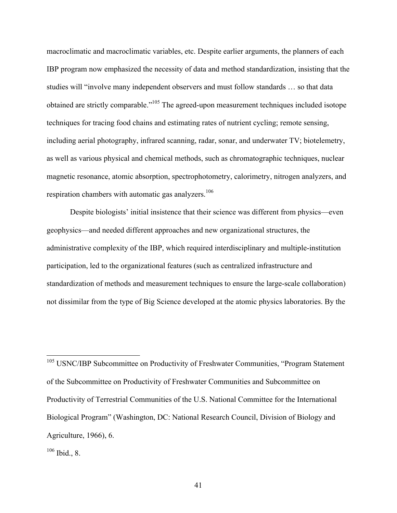macroclimatic and macroclimatic variables, etc. Despite earlier arguments, the planners of each IBP program now emphasized the necessity of data and method standardization, insisting that the studies will "involve many independent observers and must follow standards … so that data obtained are strictly comparable."105 The agreed-upon measurement techniques included isotope techniques for tracing food chains and estimating rates of nutrient cycling; remote sensing, including aerial photography, infrared scanning, radar, sonar, and underwater TV; biotelemetry, as well as various physical and chemical methods, such as chromatographic techniques, nuclear magnetic resonance, atomic absorption, spectrophotometry, calorimetry, nitrogen analyzers, and respiration chambers with automatic gas analyzers.<sup>106</sup>

Despite biologists' initial insistence that their science was different from physics—even geophysics—and needed different approaches and new organizational structures, the administrative complexity of the IBP, which required interdisciplinary and multiple-institution participation, led to the organizational features (such as centralized infrastructure and standardization of methods and measurement techniques to ensure the large-scale collaboration) not dissimilar from the type of Big Science developed at the atomic physics laboratories. By the

<sup>&</sup>lt;sup>105</sup> USNC/IBP Subcommittee on Productivity of Freshwater Communities, "Program Statement of the Subcommittee on Productivity of Freshwater Communities and Subcommittee on Productivity of Terrestrial Communities of the U.S. National Committee for the International Biological Program" (Washington, DC: National Research Council, Division of Biology and Agriculture, 1966), 6.

 $106$  Ibid., 8.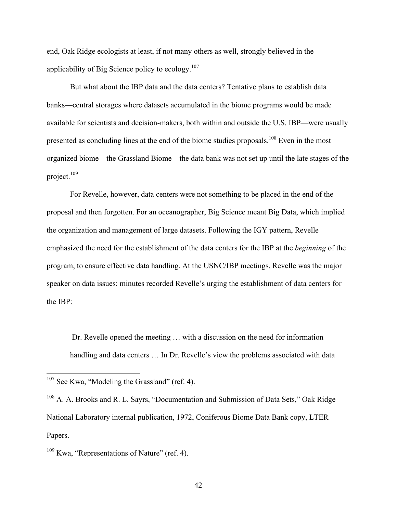end, Oak Ridge ecologists at least, if not many others as well, strongly believed in the applicability of Big Science policy to ecology.<sup>107</sup>

But what about the IBP data and the data centers? Tentative plans to establish data banks—central storages where datasets accumulated in the biome programs would be made available for scientists and decision-makers, both within and outside the U.S. IBP—were usually presented as concluding lines at the end of the biome studies proposals.<sup>108</sup> Even in the most organized biome—the Grassland Biome—the data bank was not set up until the late stages of the project.109

For Revelle, however, data centers were not something to be placed in the end of the proposal and then forgotten. For an oceanographer, Big Science meant Big Data, which implied the organization and management of large datasets. Following the IGY pattern, Revelle emphasized the need for the establishment of the data centers for the IBP at the *beginning* of the program, to ensure effective data handling. At the USNC/IBP meetings, Revelle was the major speaker on data issues: minutes recorded Revelle's urging the establishment of data centers for the IBP:

 Dr. Revelle opened the meeting … with a discussion on the need for information handling and data centers ... In Dr. Revelle's view the problems associated with data

<sup>&</sup>lt;sup>107</sup> See Kwa, "Modeling the Grassland" (ref. 4).

<sup>&</sup>lt;sup>108</sup> A. A. Brooks and R. L. Sayrs, "Documentation and Submission of Data Sets," Oak Ridge National Laboratory internal publication, 1972, Coniferous Biome Data Bank copy, LTER Papers.

 $109$  Kwa, "Representations of Nature" (ref. 4).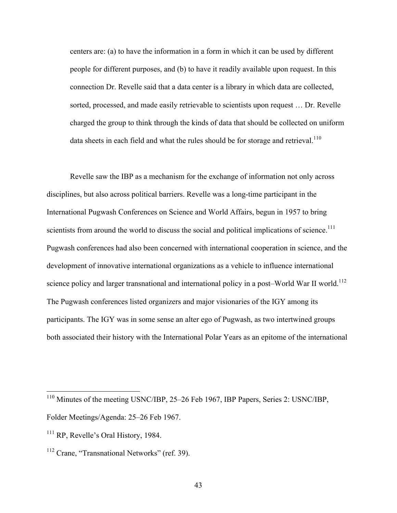centers are: (a) to have the information in a form in which it can be used by different people for different purposes, and (b) to have it readily available upon request. In this connection Dr. Revelle said that a data center is a library in which data are collected, sorted, processed, and made easily retrievable to scientists upon request … Dr. Revelle charged the group to think through the kinds of data that should be collected on uniform data sheets in each field and what the rules should be for storage and retrieval.<sup>110</sup>

Revelle saw the IBP as a mechanism for the exchange of information not only across disciplines, but also across political barriers. Revelle was a long-time participant in the International Pugwash Conferences on Science and World Affairs, begun in 1957 to bring scientists from around the world to discuss the social and political implications of science.<sup>111</sup> Pugwash conferences had also been concerned with international cooperation in science, and the development of innovative international organizations as a vehicle to influence international science policy and larger transnational and international policy in a post–World War II world.<sup>112</sup> The Pugwash conferences listed organizers and major visionaries of the IGY among its participants. The IGY was in some sense an alter ego of Pugwash, as two intertwined groups both associated their history with the International Polar Years as an epitome of the international

43

 <sup>110</sup> Minutes of the meeting USNC/IBP, 25–26 Feb 1967, IBP Papers, Series 2: USNC/IBP,

Folder Meetings/Agenda: 25–26 Feb 1967.

<sup>&</sup>lt;sup>111</sup> RP, Revelle's Oral History, 1984.

 $112$  Crane, "Transnational Networks" (ref. 39).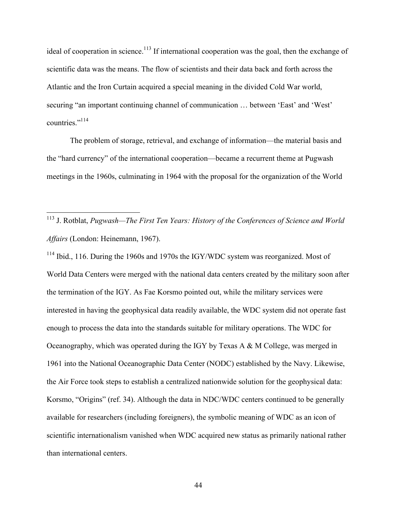ideal of cooperation in science.<sup>113</sup> If international cooperation was the goal, then the exchange of scientific data was the means. The flow of scientists and their data back and forth across the Atlantic and the Iron Curtain acquired a special meaning in the divided Cold War world, securing "an important continuing channel of communication … between 'East' and 'West' countries<sup>",114</sup>

The problem of storage, retrieval, and exchange of information—the material basis and the "hard currency" of the international cooperation—became a recurrent theme at Pugwash meetings in the 1960s, culminating in 1964 with the proposal for the organization of the World

<sup>114</sup> Ibid., 116. During the 1960s and 1970s the IGY/WDC system was reorganized. Most of World Data Centers were merged with the national data centers created by the military soon after the termination of the IGY. As Fae Korsmo pointed out, while the military services were interested in having the geophysical data readily available, the WDC system did not operate fast enough to process the data into the standards suitable for military operations. The WDC for Oceanography, which was operated during the IGY by Texas A & M College, was merged in 1961 into the National Oceanographic Data Center (NODC) established by the Navy. Likewise, the Air Force took steps to establish a centralized nationwide solution for the geophysical data: Korsmo, "Origins" (ref. 34). Although the data in NDC/WDC centers continued to be generally available for researchers (including foreigners), the symbolic meaning of WDC as an icon of scientific internationalism vanished when WDC acquired new status as primarily national rather than international centers.

 <sup>113</sup> J. Rotblat, *Pugwash—The First Ten Years: History of the Conferences of Science and World Affairs* (London: Heinemann, 1967).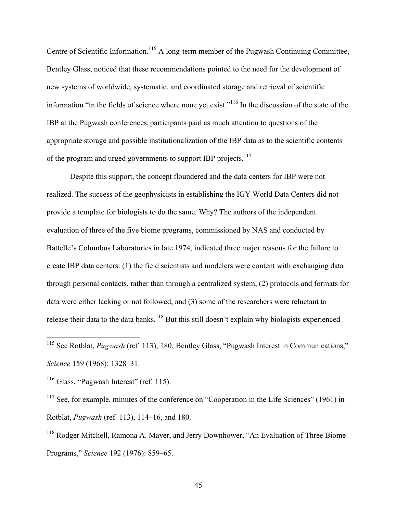Centre of Scientific Information.<sup>115</sup> A long-term member of the Pugwash Continuing Committee, Bentley Glass, noticed that these recommendations pointed to the need for the development of new systems of worldwide, systematic, and coordinated storage and retrieval of scientific information "in the fields of science where none yet exist."116 In the discussion of the state of the IBP at the Pugwash conferences, participants paid as much attention to questions of the appropriate storage and possible institutionalization of the IBP data as to the scientific contents of the program and urged governments to support IBP projects.117

Despite this support, the concept floundered and the data centers for IBP were not realized. The success of the geophysicists in establishing the IGY World Data Centers did not provide a template for biologists to do the same. Why? The authors of the independent evaluation of three of the five biome programs, commissioned by NAS and conducted by Battelle's Columbus Laboratories in late 1974, indicated three major reasons for the failure to create IBP data centers: (1) the field scientists and modelers were content with exchanging data through personal contacts, rather than through a centralized system, (2) protocols and formats for data were either lacking or not followed, and (3) some of the researchers were reluctant to release their data to the data banks.<sup>118</sup> But this still doesn't explain why biologists experienced

<sup>116</sup> Glass, "Pugwash Interest" (ref. 115).

<sup>117</sup> See, for example, minutes of the conference on "Cooperation in the Life Sciences" (1961) in Rotblat, *Pugwash* (ref. 113), 114–16, and 180.

<sup>118</sup> Rodger Mitchell, Ramona A. Mayer, and Jerry Downhower, "An Evaluation of Three Biome Programs," *Science* 192 (1976): 859–65.

 <sup>115</sup> See Rotblat, *Pugwash* (ref. 113), 180; Bentley Glass, "Pugwash Interest in Communications," *Science* 159 (1968): 1328–31.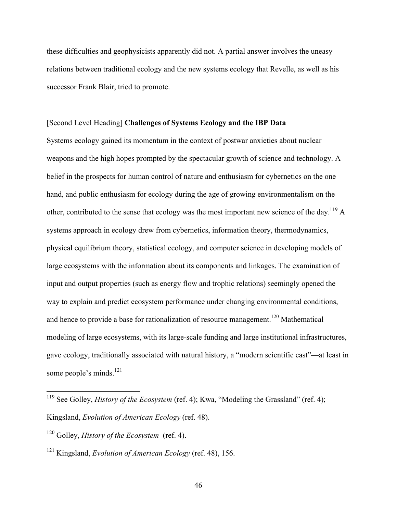these difficulties and geophysicists apparently did not. A partial answer involves the uneasy relations between traditional ecology and the new systems ecology that Revelle, as well as his successor Frank Blair, tried to promote.

## [Second Level Heading] **Challenges of Systems Ecology and the IBP Data**

Systems ecology gained its momentum in the context of postwar anxieties about nuclear weapons and the high hopes prompted by the spectacular growth of science and technology. A belief in the prospects for human control of nature and enthusiasm for cybernetics on the one hand, and public enthusiasm for ecology during the age of growing environmentalism on the other, contributed to the sense that ecology was the most important new science of the day.<sup>119</sup> A systems approach in ecology drew from cybernetics, information theory, thermodynamics, physical equilibrium theory, statistical ecology, and computer science in developing models of large ecosystems with the information about its components and linkages. The examination of input and output properties (such as energy flow and trophic relations) seemingly opened the way to explain and predict ecosystem performance under changing environmental conditions, and hence to provide a base for rationalization of resource management.<sup>120</sup> Mathematical modeling of large ecosystems, with its large-scale funding and large institutional infrastructures, gave ecology, traditionally associated with natural history, a "modern scientific cast"—at least in some people's minds.<sup>121</sup>

<sup>&</sup>lt;sup>119</sup> See Golley, *History of the Ecosystem* (ref. 4); Kwa, "Modeling the Grassland" (ref. 4); Kingsland, *Evolution of American Ecology* (ref. 48).

<sup>120</sup> Golley, *History of the Ecosystem* (ref. 4).

<sup>121</sup> Kingsland, *Evolution of American Ecology* (ref. 48), 156.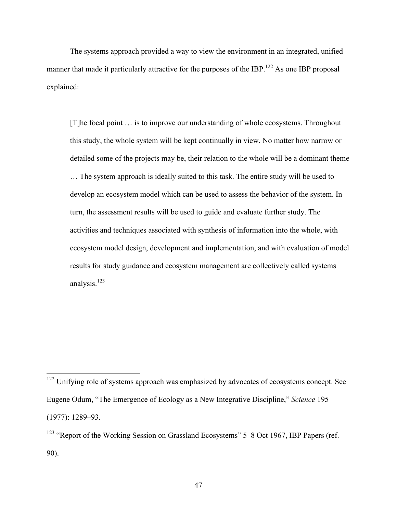The systems approach provided a way to view the environment in an integrated, unified manner that made it particularly attractive for the purposes of the IBP.<sup>122</sup> As one IBP proposal explained:

[T]he focal point … is to improve our understanding of whole ecosystems. Throughout this study, the whole system will be kept continually in view. No matter how narrow or detailed some of the projects may be, their relation to the whole will be a dominant theme … The system approach is ideally suited to this task. The entire study will be used to develop an ecosystem model which can be used to assess the behavior of the system. In turn, the assessment results will be used to guide and evaluate further study. The activities and techniques associated with synthesis of information into the whole, with ecosystem model design, development and implementation, and with evaluation of model results for study guidance and ecosystem management are collectively called systems analysis.<sup>123</sup>

<sup>&</sup>lt;sup>122</sup> Unifying role of systems approach was emphasized by advocates of ecosystems concept. See Eugene Odum, "The Emergence of Ecology as a New Integrative Discipline," *Science* 195 (1977): 1289–93.

<sup>&</sup>lt;sup>123</sup> "Report of the Working Session on Grassland Ecosystems" 5–8 Oct 1967, IBP Papers (ref. 90).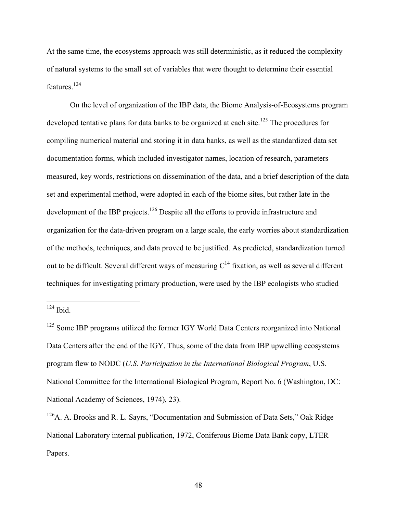At the same time, the ecosystems approach was still deterministic, as it reduced the complexity of natural systems to the small set of variables that were thought to determine their essential features.<sup>124</sup>

On the level of organization of the IBP data, the Biome Analysis-of-Ecosystems program developed tentative plans for data banks to be organized at each site.<sup>125</sup> The procedures for compiling numerical material and storing it in data banks, as well as the standardized data set documentation forms, which included investigator names, location of research, parameters measured, key words, restrictions on dissemination of the data, and a brief description of the data set and experimental method, were adopted in each of the biome sites, but rather late in the development of the IBP projects.<sup>126</sup> Despite all the efforts to provide infrastructure and organization for the data-driven program on a large scale, the early worries about standardization of the methods, techniques, and data proved to be justified. As predicted, standardization turned out to be difficult. Several different ways of measuring  $C^{14}$  fixation, as well as several different techniques for investigating primary production, were used by the IBP ecologists who studied

 $124$  Ibid.

<sup>&</sup>lt;sup>125</sup> Some IBP programs utilized the former IGY World Data Centers reorganized into National Data Centers after the end of the IGY. Thus, some of the data from IBP upwelling ecosystems program flew to NODC (*U.S. Participation in the International Biological Program*, U.S. National Committee for the International Biological Program, Report No. 6 (Washington, DC: National Academy of Sciences, 1974), 23).

 $126A$ . A. Brooks and R. L. Sayrs, "Documentation and Submission of Data Sets," Oak Ridge National Laboratory internal publication, 1972, Coniferous Biome Data Bank copy, LTER Papers.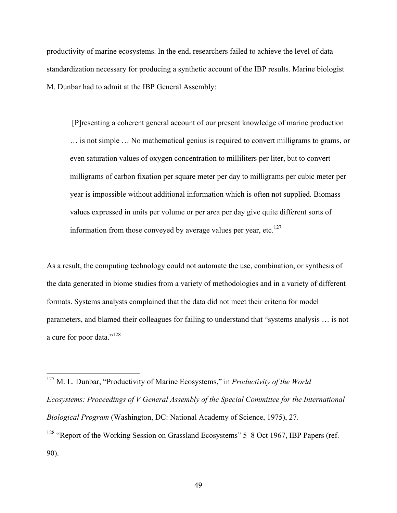productivity of marine ecosystems. In the end, researchers failed to achieve the level of data standardization necessary for producing a synthetic account of the IBP results. Marine biologist M. Dunbar had to admit at the IBP General Assembly:

 [P]resenting a coherent general account of our present knowledge of marine production … is not simple … No mathematical genius is required to convert milligrams to grams, or even saturation values of oxygen concentration to milliliters per liter, but to convert milligrams of carbon fixation per square meter per day to milligrams per cubic meter per year is impossible without additional information which is often not supplied. Biomass values expressed in units per volume or per area per day give quite different sorts of information from those conveyed by average values per year, etc. $127$ 

As a result, the computing technology could not automate the use, combination, or synthesis of the data generated in biome studies from a variety of methodologies and in a variety of different formats. Systems analysts complained that the data did not meet their criteria for model parameters, and blamed their colleagues for failing to understand that "systems analysis … is not a cure for poor data."<sup>128</sup>

 127 M. L. Dunbar, "Productivity of Marine Ecosystems," in *Productivity of the World Ecosystems: Proceedings of V General Assembly of the Special Committee for the International Biological Program* (Washington, DC: National Academy of Science, 1975), 27. <sup>128</sup> "Report of the Working Session on Grassland Ecosystems" 5–8 Oct 1967, IBP Papers (ref. 90).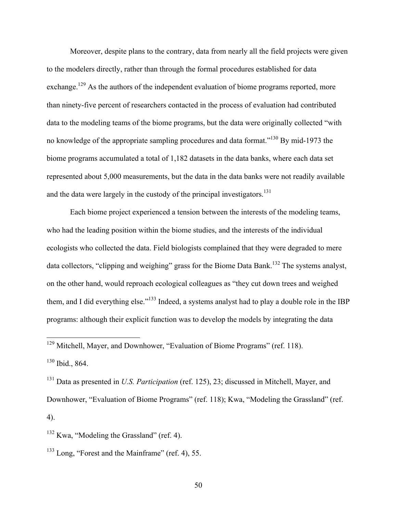Moreover, despite plans to the contrary, data from nearly all the field projects were given to the modelers directly, rather than through the formal procedures established for data exchange.<sup>129</sup> As the authors of the independent evaluation of biome programs reported, more than ninety-five percent of researchers contacted in the process of evaluation had contributed data to the modeling teams of the biome programs, but the data were originally collected "with no knowledge of the appropriate sampling procedures and data format."<sup>130</sup> By mid-1973 the biome programs accumulated a total of 1,182 datasets in the data banks, where each data set represented about 5,000 measurements, but the data in the data banks were not readily available and the data were largely in the custody of the principal investigators.<sup>131</sup>

Each biome project experienced a tension between the interests of the modeling teams, who had the leading position within the biome studies, and the interests of the individual ecologists who collected the data. Field biologists complained that they were degraded to mere data collectors, "clipping and weighing" grass for the Biome Data Bank.<sup>132</sup> The systems analyst, on the other hand, would reproach ecological colleagues as "they cut down trees and weighed them, and I did everything else."<sup>133</sup> Indeed, a systems analyst had to play a double role in the IBP programs: although their explicit function was to develop the models by integrating the data

131 Data as presented in *U.S. Participation* (ref. 125), 23; discussed in Mitchell, Mayer, and Downhower, "Evaluation of Biome Programs" (ref. 118); Kwa, "Modeling the Grassland" (ref. 4).

 <sup>129</sup> Mitchell, Mayer, and Downhower, "Evaluation of Biome Programs" (ref. 118). <sup>130</sup> Ibid., 864.

 $132$  Kwa, "Modeling the Grassland" (ref. 4).

<sup>133</sup> Long, "Forest and the Mainframe" (ref. 4), 55.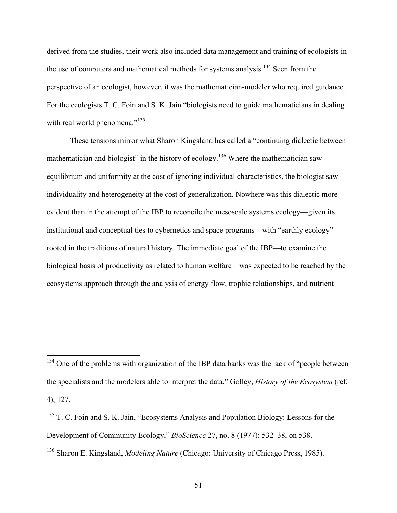derived from the studies, their work also included data management and training of ecologists in the use of computers and mathematical methods for systems analysis.<sup>134</sup> Seen from the perspective of an ecologist, however, it was the mathematician-modeler who required guidance. For the ecologists T. C. Foin and S. K. Jain "biologists need to guide mathematicians in dealing with real world phenomena."<sup>135</sup>

These tensions mirror what Sharon Kingsland has called a "continuing dialectic between mathematician and biologist" in the history of ecology.<sup>136</sup> Where the mathematician saw equilibrium and uniformity at the cost of ignoring individual characteristics, the biologist saw individuality and heterogeneity at the cost of generalization. Nowhere was this dialectic more evident than in the attempt of the IBP to reconcile the mesoscale systems ecology—given its institutional and conceptual ties to cybernetics and space programs—with "earthly ecology" rooted in the traditions of natural history. The immediate goal of the IBP—to examine the biological basis of productivity as related to human welfare—was expected to be reached by the ecosystems approach through the analysis of energy flow, trophic relationships, and nutrient

<sup>&</sup>lt;sup>134</sup> One of the problems with organization of the IBP data banks was the lack of "people between" the specialists and the modelers able to interpret the data." Golley, *History of the Ecosystem* (ref. 4), 127.

<sup>&</sup>lt;sup>135</sup> T. C. Foin and S. K. Jain, "Ecosystems Analysis and Population Biology: Lessons for the Development of Community Ecology," *BioScience* 27, no. 8 (1977): 532–38, on 538. <sup>136</sup> Sharon E. Kingsland, *Modeling Nature* (Chicago: University of Chicago Press, 1985).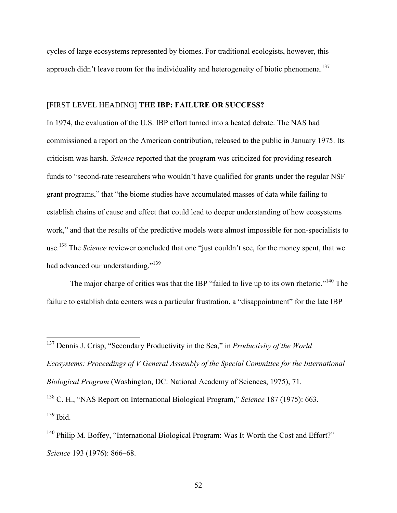cycles of large ecosystems represented by biomes. For traditional ecologists, however, this approach didn't leave room for the individuality and heterogeneity of biotic phenomena.<sup>137</sup>

### [FIRST LEVEL HEADING] **THE IBP: FAILURE OR SUCCESS?**

In 1974, the evaluation of the U.S. IBP effort turned into a heated debate. The NAS had commissioned a report on the American contribution, released to the public in January 1975. Its criticism was harsh. *Science* reported that the program was criticized for providing research funds to "second-rate researchers who wouldn't have qualified for grants under the regular NSF grant programs," that "the biome studies have accumulated masses of data while failing to establish chains of cause and effect that could lead to deeper understanding of how ecosystems work," and that the results of the predictive models were almost impossible for non-specialists to use.138 The *Science* reviewer concluded that one "just couldn't see, for the money spent, that we had advanced our understanding."<sup>139</sup>

The major charge of critics was that the IBP "failed to live up to its own rhetoric."<sup>140</sup> The failure to establish data centers was a particular frustration, a "disappointment" for the late IBP

 137 Dennis J. Crisp, "Secondary Productivity in the Sea," in *Productivity of the World Ecosystems: Proceedings of V General Assembly of the Special Committee for the International Biological Program* (Washington, DC: National Academy of Sciences, 1975), 71.

<sup>138</sup> C. H., "NAS Report on International Biological Program," *Science* 187 (1975): 663.  $139$  Ibid.

 $140$  Philip M. Boffey, "International Biological Program: Was It Worth the Cost and Effort?" *Science* 193 (1976): 866–68.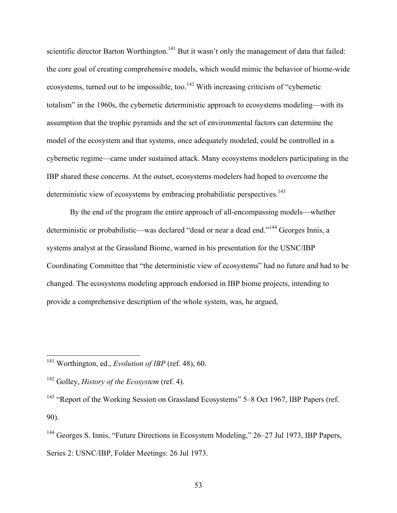scientific director Barton Worthington.<sup>141</sup> But it wasn't only the management of data that failed: the core goal of creating comprehensive models, which would mimic the behavior of biome-wide ecosystems, turned out to be impossible, too.<sup>142</sup> With increasing criticism of "cybernetic totalism" in the 1960s, the cybernetic deterministic approach to ecosystems modeling—with its assumption that the trophic pyramids and the set of environmental factors can determine the model of the ecosystem and that systems, once adequately modeled, could be controlled in a cybernetic regime—came under sustained attack. Many ecosystems modelers participating in the IBP shared these concerns. At the outset, ecosystems modelers had hoped to overcome the deterministic view of ecosystems by embracing probabilistic perspectives.<sup>143</sup>

By the end of the program the entire approach of all-encompassing models—whether deterministic or probabilistic—was declared "dead or near a dead end."144 Georges Innis, a systems analyst at the Grassland Biome, warned in his presentation for the USNC/IBP Coordinating Committee that "the deterministic view of ecosystems" had no future and had to be changed. The ecosystems modeling approach endorsed in IBP biome projects, intending to provide a comprehensive description of the whole system, was, he argued,

<sup>143</sup> "Report of the Working Session on Grassland Ecosystems" 5–8 Oct 1967, IBP Papers (ref. 90).

 <sup>141</sup> Worthington, ed., *Evolution of IBP* (ref. 48), 60.

<sup>142</sup> Golley, *History of the Ecosystem* (ref. 4).

<sup>&</sup>lt;sup>144</sup> Georges S. Innis, "Future Directions in Ecosystem Modeling," 26–27 Jul 1973, IBP Papers, Series 2: USNC/IBP, Folder Meetings: 26 Jul 1973.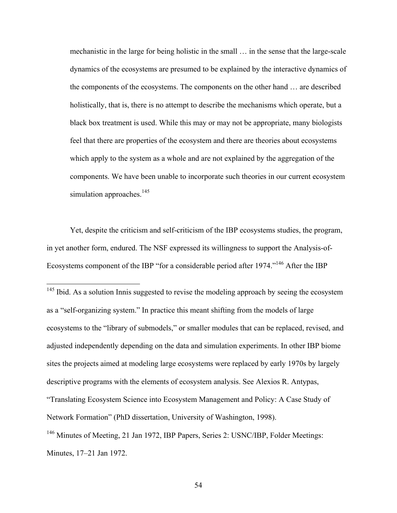mechanistic in the large for being holistic in the small … in the sense that the large-scale dynamics of the ecosystems are presumed to be explained by the interactive dynamics of the components of the ecosystems. The components on the other hand … are described holistically, that is, there is no attempt to describe the mechanisms which operate, but a black box treatment is used. While this may or may not be appropriate, many biologists feel that there are properties of the ecosystem and there are theories about ecosystems which apply to the system as a whole and are not explained by the aggregation of the components. We have been unable to incorporate such theories in our current ecosystem simulation approaches. $145$ 

Yet, despite the criticism and self-criticism of the IBP ecosystems studies, the program, in yet another form, endured. The NSF expressed its willingness to support the Analysis-of-Ecosystems component of the IBP "for a considerable period after 1974."<sup>146</sup> After the IBP

<sup>145</sup> Ibid. As a solution Innis suggested to revise the modeling approach by seeing the ecosystem as a "self-organizing system." In practice this meant shifting from the models of large ecosystems to the "library of submodels," or smaller modules that can be replaced, revised, and adjusted independently depending on the data and simulation experiments. In other IBP biome sites the projects aimed at modeling large ecosystems were replaced by early 1970s by largely descriptive programs with the elements of ecosystem analysis. See Alexios R. Antypas, "Translating Ecosystem Science into Ecosystem Management and Policy: A Case Study of Network Formation" (PhD dissertation, University of Washington, 1998). <sup>146</sup> Minutes of Meeting, 21 Jan 1972, IBP Papers, Series 2: USNC/IBP, Folder Meetings: Minutes, 17–21 Jan 1972.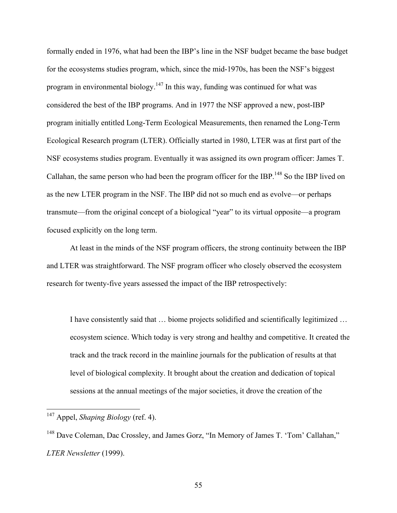formally ended in 1976, what had been the IBP's line in the NSF budget became the base budget for the ecosystems studies program, which, since the mid-1970s, has been the NSF's biggest program in environmental biology.<sup>147</sup> In this way, funding was continued for what was considered the best of the IBP programs. And in 1977 the NSF approved a new, post-IBP program initially entitled Long-Term Ecological Measurements, then renamed the Long-Term Ecological Research program (LTER). Officially started in 1980, LTER was at first part of the NSF ecosystems studies program. Eventually it was assigned its own program officer: James T. Callahan, the same person who had been the program officer for the IBP.<sup>148</sup> So the IBP lived on as the new LTER program in the NSF. The IBP did not so much end as evolve—or perhaps transmute—from the original concept of a biological "year" to its virtual opposite—a program focused explicitly on the long term.

At least in the minds of the NSF program officers, the strong continuity between the IBP and LTER was straightforward. The NSF program officer who closely observed the ecosystem research for twenty-five years assessed the impact of the IBP retrospectively:

I have consistently said that … biome projects solidified and scientifically legitimized … ecosystem science. Which today is very strong and healthy and competitive. It created the track and the track record in the mainline journals for the publication of results at that level of biological complexity. It brought about the creation and dedication of topical sessions at the annual meetings of the major societies, it drove the creation of the

 <sup>147</sup> Appel, *Shaping Biology* (ref. 4).

<sup>148</sup> Dave Coleman, Dac Crossley, and James Gorz, "In Memory of James T. 'Tom' Callahan," *LTER Newsletter* (1999).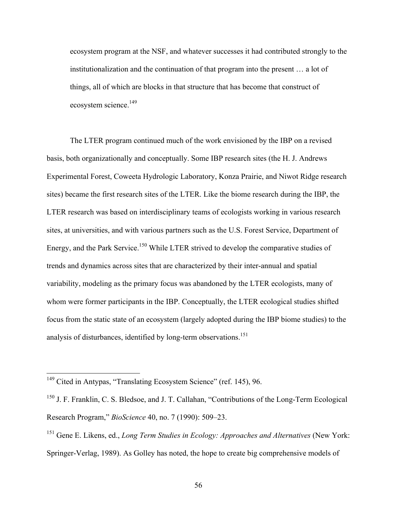ecosystem program at the NSF, and whatever successes it had contributed strongly to the institutionalization and the continuation of that program into the present … a lot of things, all of which are blocks in that structure that has become that construct of ecosystem science.<sup>149</sup>

The LTER program continued much of the work envisioned by the IBP on a revised basis, both organizationally and conceptually. Some IBP research sites (the H. J. Andrews Experimental Forest, Coweeta Hydrologic Laboratory, Konza Prairie, and Niwot Ridge research sites) became the first research sites of the LTER. Like the biome research during the IBP, the LTER research was based on interdisciplinary teams of ecologists working in various research sites, at universities, and with various partners such as the U.S. Forest Service, Department of Energy, and the Park Service.<sup>150</sup> While LTER strived to develop the comparative studies of trends and dynamics across sites that are characterized by their inter-annual and spatial variability, modeling as the primary focus was abandoned by the LTER ecologists, many of whom were former participants in the IBP. Conceptually, the LTER ecological studies shifted focus from the static state of an ecosystem (largely adopted during the IBP biome studies) to the analysis of disturbances, identified by long-term observations.<sup>151</sup>

<sup>&</sup>lt;sup>149</sup> Cited in Antypas, "Translating Ecosystem Science" (ref. 145), 96.

<sup>&</sup>lt;sup>150</sup> J. F. Franklin, C. S. Bledsoe, and J. T. Callahan, "Contributions of the Long-Term Ecological Research Program," *BioScience* 40, no. 7 (1990): 509–23.

<sup>151</sup> Gene E. Likens, ed., *Long Term Studies in Ecology: Approaches and Alternatives* (New York: Springer-Verlag, 1989). As Golley has noted, the hope to create big comprehensive models of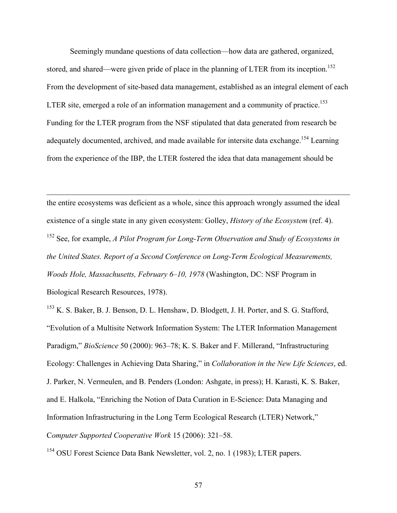Seemingly mundane questions of data collection—how data are gathered, organized, stored, and shared—were given pride of place in the planning of LTER from its inception.<sup>152</sup> From the development of site-based data management, established as an integral element of each LTER site, emerged a role of an information management and a community of practice.<sup>153</sup> Funding for the LTER program from the NSF stipulated that data generated from research be adequately documented, archived, and made available for intersite data exchange.<sup>154</sup> Learning from the experience of the IBP, the LTER fostered the idea that data management should be

the entire ecosystems was deficient as a whole, since this approach wrongly assumed the ideal existence of a single state in any given ecosystem: Golley, *History of the Ecosystem* (ref. 4). <sup>152</sup> See, for example, *A Pilot Program for Long-Term Observation and Study of Ecosystems in the United States. Report of a Second Conference on Long-Term Ecological Measurements, Woods Hole, Massachusetts, February 6–10, 1978* (Washington, DC: NSF Program in Biological Research Resources, 1978).

 $\overline{a}$ 

<sup>153</sup> K. S. Baker, B. J. Benson, D. L. Henshaw, D. Blodgett, J. H. Porter, and S. G. Stafford, "Evolution of a Multisite Network Information System: The LTER Information Management Paradigm," *BioScience* 50 (2000): 963–78; K. S. Baker and F. Millerand, "Infrastructuring Ecology: Challenges in Achieving Data Sharing," in *Collaboration in the New Life Sciences*, ed. J. Parker, N. Vermeulen, and B. Penders (London: Ashgate, in press); H. Karasti, K. S. Baker, and E. Halkola, "Enriching the Notion of Data Curation in E-Science: Data Managing and Information Infrastructuring in the Long Term Ecological Research (LTER) Network," C*omputer Supported Cooperative Work* 15 (2006): 321–58.

<sup>154</sup> OSU Forest Science Data Bank Newsletter, vol. 2, no. 1 (1983); LTER papers.

57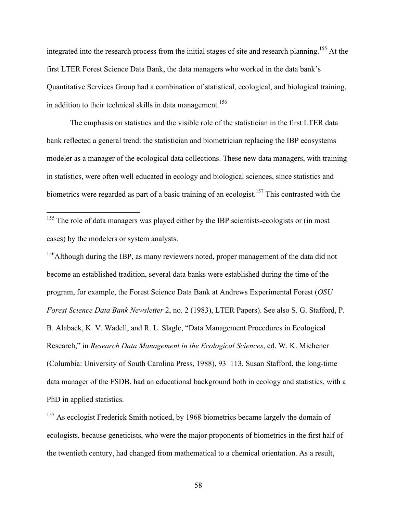integrated into the research process from the initial stages of site and research planning.<sup>155</sup> At the first LTER Forest Science Data Bank, the data managers who worked in the data bank's Quantitative Services Group had a combination of statistical, ecological, and biological training, in addition to their technical skills in data management.<sup>156</sup>

The emphasis on statistics and the visible role of the statistician in the first LTER data bank reflected a general trend: the statistician and biometrician replacing the IBP ecosystems modeler as a manager of the ecological data collections. These new data managers, with training in statistics, were often well educated in ecology and biological sciences, since statistics and biometrics were regarded as part of a basic training of an ecologist.<sup>157</sup> This contrasted with the

<sup>155</sup> The role of data managers was played either by the IBP scientists-ecologists or (in most cases) by the modelers or system analysts.

<sup>156</sup>Although during the IBP, as many reviewers noted, proper management of the data did not become an established tradition, several data banks were established during the time of the program, for example, the Forest Science Data Bank at Andrews Experimental Forest (*OSU Forest Science Data Bank Newsletter* 2, no. 2 (1983), LTER Papers). See also S. G. Stafford, P. B. Alaback, K. V. Wadell, and R. L. Slagle, "Data Management Procedures in Ecological Research," in *Research Data Management in the Ecological Sciences*, ed. W. K. Michener (Columbia: University of South Carolina Press, 1988), 93–113. Susan Stafford, the long-time data manager of the FSDB, had an educational background both in ecology and statistics, with a PhD in applied statistics.

<sup>157</sup> As ecologist Frederick Smith noticed, by 1968 biometrics became largely the domain of ecologists, because geneticists, who were the major proponents of biometrics in the first half of the twentieth century, had changed from mathematical to a chemical orientation. As a result,

58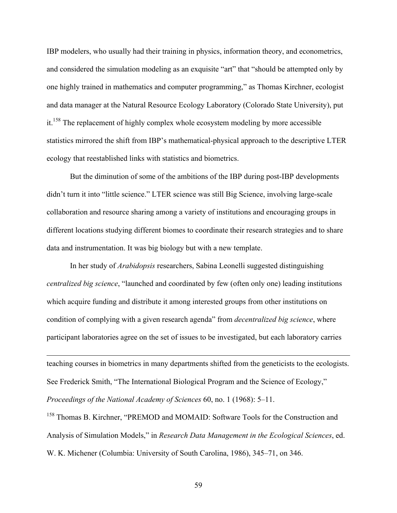IBP modelers, who usually had their training in physics, information theory, and econometrics, and considered the simulation modeling as an exquisite "art" that "should be attempted only by one highly trained in mathematics and computer programming," as Thomas Kirchner, ecologist and data manager at the Natural Resource Ecology Laboratory (Colorado State University), put it.<sup>158</sup> The replacement of highly complex whole ecosystem modeling by more accessible statistics mirrored the shift from IBP's mathematical-physical approach to the descriptive LTER ecology that reestablished links with statistics and biometrics.

But the diminution of some of the ambitions of the IBP during post-IBP developments didn't turn it into "little science." LTER science was still Big Science, involving large-scale collaboration and resource sharing among a variety of institutions and encouraging groups in different locations studying different biomes to coordinate their research strategies and to share data and instrumentation. It was big biology but with a new template.

In her study of *Arabidopsis* researchers, Sabina Leonelli suggested distinguishing *centralized big science*, "launched and coordinated by few (often only one) leading institutions which acquire funding and distribute it among interested groups from other institutions on condition of complying with a given research agenda" from *decentralized big science*, where participant laboratories agree on the set of issues to be investigated, but each laboratory carries

teaching courses in biometrics in many departments shifted from the geneticists to the ecologists. See Frederick Smith, "The International Biological Program and the Science of Ecology," *Proceedings of the National Academy of Sciences* 60, no. 1 (1968): 5–11.

 $\overline{a}$ 

<sup>158</sup> Thomas B. Kirchner, "PREMOD and MOMAID: Software Tools for the Construction and Analysis of Simulation Models," in *Research Data Management in the Ecological Sciences*, ed. W. K. Michener (Columbia: University of South Carolina, 1986), 345–71, on 346.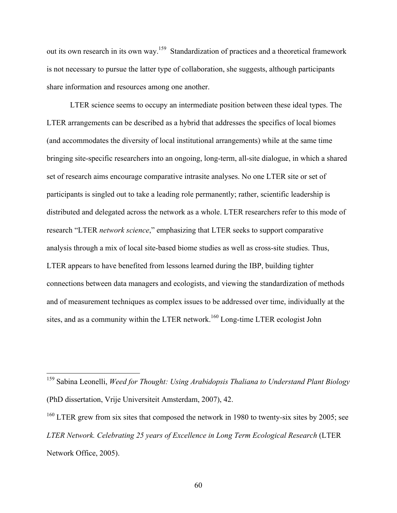out its own research in its own way.<sup>159</sup> Standardization of practices and a theoretical framework is not necessary to pursue the latter type of collaboration, she suggests, although participants share information and resources among one another.

LTER science seems to occupy an intermediate position between these ideal types. The LTER arrangements can be described as a hybrid that addresses the specifics of local biomes (and accommodates the diversity of local institutional arrangements) while at the same time bringing site-specific researchers into an ongoing, long-term, all-site dialogue, in which a shared set of research aims encourage comparative intrasite analyses. No one LTER site or set of participants is singled out to take a leading role permanently; rather, scientific leadership is distributed and delegated across the network as a whole. LTER researchers refer to this mode of research "LTER *network science*," emphasizing that LTER seeks to support comparative analysis through a mix of local site-based biome studies as well as cross-site studies. Thus, LTER appears to have benefited from lessons learned during the IBP, building tighter connections between data managers and ecologists, and viewing the standardization of methods and of measurement techniques as complex issues to be addressed over time, individually at the sites, and as a community within the LTER network.<sup>160</sup> Long-time LTER ecologist John

 <sup>159</sup> Sabina Leonelli, *Weed for Thought: Using Arabidopsis Thaliana to Understand Plant Biology* (PhD dissertation, Vrije Universiteit Amsterdam, 2007), 42.

 $160$  LTER grew from six sites that composed the network in 1980 to twenty-six sites by 2005; see *LTER Network. Celebrating 25 years of Excellence in Long Term Ecological Research* (LTER Network Office, 2005).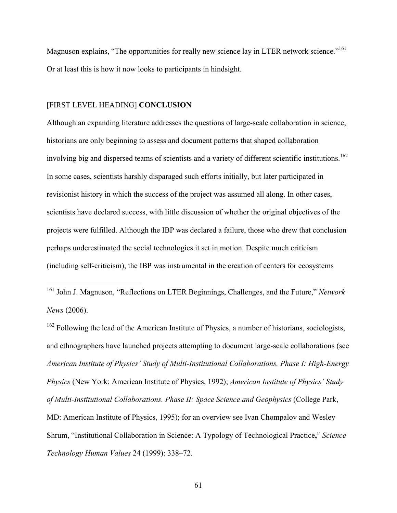Magnuson explains, "The opportunities for really new science lay in LTER network science."<sup>161</sup> Or at least this is how it now looks to participants in hindsight.

#### [FIRST LEVEL HEADING] **CONCLUSION**

Although an expanding literature addresses the questions of large-scale collaboration in science, historians are only beginning to assess and document patterns that shaped collaboration involving big and dispersed teams of scientists and a variety of different scientific institutions. 162 In some cases, scientists harshly disparaged such efforts initially, but later participated in revisionist history in which the success of the project was assumed all along. In other cases, scientists have declared success, with little discussion of whether the original objectives of the projects were fulfilled. Although the IBP was declared a failure, those who drew that conclusion perhaps underestimated the social technologies it set in motion. Despite much criticism (including self-criticism), the IBP was instrumental in the creation of centers for ecosystems

 <sup>161</sup> John J. Magnuson, "Reflections on LTER Beginnings, Challenges, and the Future," *Network News* (2006).

 $162$  Following the lead of the American Institute of Physics, a number of historians, sociologists, and ethnographers have launched projects attempting to document large-scale collaborations (see *American Institute of Physics' Study of Multi-Institutional Collaborations. Phase I: High-Energy Physics* (New York: American Institute of Physics, 1992); *American Institute of Physics' Study of Multi-Institutional Collaborations. Phase II: Space Science and Geophysics* (College Park, MD: American Institute of Physics, 1995); for an overview see Ivan Chompalov and Wesley Shrum, "Institutional Collaboration in Science: A Typology of Technological Practice**,**" *Science Technology Human Values* 24 (1999): 338–72.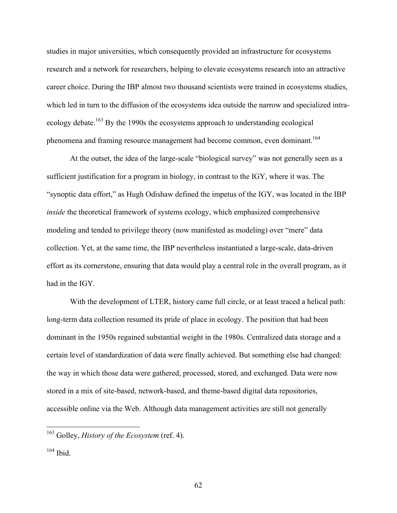studies in major universities, which consequently provided an infrastructure for ecosystems research and a network for researchers, helping to elevate ecosystems research into an attractive career choice. During the IBP almost two thousand scientists were trained in ecosystems studies, which led in turn to the diffusion of the ecosystems idea outside the narrow and specialized intraecology debate.<sup>163</sup> By the 1990s the ecosystems approach to understanding ecological phenomena and framing resource management had become common, even dominant.<sup>164</sup>

At the outset, the idea of the large-scale "biological survey" was not generally seen as a sufficient justification for a program in biology, in contrast to the IGY, where it was. The "synoptic data effort," as Hugh Odishaw defined the impetus of the IGY, was located in the IBP *inside* the theoretical framework of systems ecology, which emphasized comprehensive modeling and tended to privilege theory (now manifested as modeling) over "mere" data collection. Yet, at the same time, the IBP nevertheless instantiated a large-scale, data-driven effort as its cornerstone, ensuring that data would play a central role in the overall program, as it had in the IGY.

With the development of LTER, history came full circle, or at least traced a helical path: long-term data collection resumed its pride of place in ecology. The position that had been dominant in the 1950s regained substantial weight in the 1980s. Centralized data storage and a certain level of standardization of data were finally achieved. But something else had changed: the way in which those data were gathered, processed, stored, and exchanged. Data were now stored in a mix of site-based, network-based, and theme-based digital data repositories, accessible online via the Web. Although data management activities are still not generally

 <sup>163</sup> Golley, *History of the Ecosystem* (ref. 4).

<sup>164</sup> Ibid.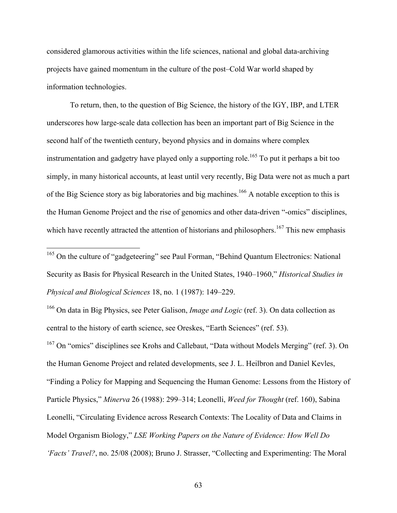considered glamorous activities within the life sciences, national and global data-archiving projects have gained momentum in the culture of the post–Cold War world shaped by information technologies.

To return, then, to the question of Big Science, the history of the IGY, IBP, and LTER underscores how large-scale data collection has been an important part of Big Science in the second half of the twentieth century, beyond physics and in domains where complex instrumentation and gadgetry have played only a supporting role.<sup>165</sup> To put it perhaps a bit too simply, in many historical accounts, at least until very recently, Big Data were not as much a part of the Big Science story as big laboratories and big machines.<sup>166</sup> A notable exception to this is the Human Genome Project and the rise of genomics and other data-driven "-omics" disciplines, which have recently attracted the attention of historians and philosophers.<sup>167</sup> This new emphasis

<sup>165</sup> On the culture of "gadgeteering" see Paul Forman, "Behind Quantum Electronics: National Security as Basis for Physical Research in the United States, 1940–1960," *Historical Studies in Physical and Biological Sciences* 18, no. 1 (1987): 149–229.

166 On data in Big Physics, see Peter Galison, *Image and Logic* (ref. 3). On data collection as central to the history of earth science, see Oreskes, "Earth Sciences" (ref. 53).

<sup>167</sup> On "omics" disciplines see Krohs and Callebaut, "Data without Models Merging" (ref. 3). On the Human Genome Project and related developments, see J. L. Heilbron and Daniel Kevles, "Finding a Policy for Mapping and Sequencing the Human Genome: Lessons from the History of Particle Physics," *Minerva* 26 (1988): 299–314; Leonelli, *Weed for Thought* (ref. 160), Sabina Leonelli, "Circulating Evidence across Research Contexts: The Locality of Data and Claims in Model Organism Biology," *LSE Working Papers on the Nature of Evidence: How Well Do 'Facts' Travel?*, no. 25/08 (2008); Bruno J. Strasser, "Collecting and Experimenting: The Moral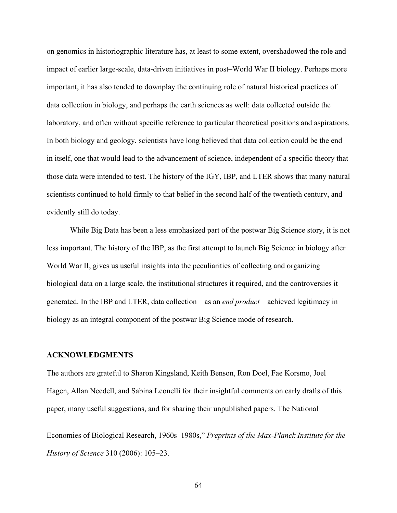on genomics in historiographic literature has, at least to some extent, overshadowed the role and impact of earlier large-scale, data-driven initiatives in post–World War II biology. Perhaps more important, it has also tended to downplay the continuing role of natural historical practices of data collection in biology, and perhaps the earth sciences as well: data collected outside the laboratory, and often without specific reference to particular theoretical positions and aspirations. In both biology and geology, scientists have long believed that data collection could be the end in itself, one that would lead to the advancement of science, independent of a specific theory that those data were intended to test. The history of the IGY, IBP, and LTER shows that many natural scientists continued to hold firmly to that belief in the second half of the twentieth century, and evidently still do today.

While Big Data has been a less emphasized part of the postwar Big Science story, it is not less important. The history of the IBP, as the first attempt to launch Big Science in biology after World War II, gives us useful insights into the peculiarities of collecting and organizing biological data on a large scale, the institutional structures it required, and the controversies it generated. In the IBP and LTER, data collection—as an *end product*—achieved legitimacy in biology as an integral component of the postwar Big Science mode of research.

#### **ACKNOWLEDGMENTS**

 $\overline{a}$ 

The authors are grateful to Sharon Kingsland, Keith Benson, Ron Doel, Fae Korsmo, Joel Hagen, Allan Needell, and Sabina Leonelli for their insightful comments on early drafts of this paper, many useful suggestions, and for sharing their unpublished papers. The National

Economies of Biological Research, 1960s–1980s," *Preprints of the Max-Planck Institute for the History of Science* 310 (2006): 105–23.